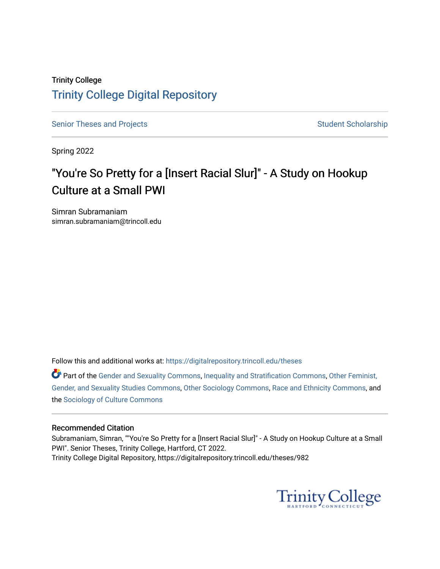# Trinity College [Trinity College Digital Repository](https://digitalrepository.trincoll.edu/)

[Senior Theses and Projects](https://digitalrepository.trincoll.edu/theses) Senior Student Scholarship

Spring 2022

# "You're So Pretty for a [Insert Racial Slur]" - A Study on Hookup Culture at a Small PWI

Simran Subramaniam simran.subramaniam@trincoll.edu

Follow this and additional works at: [https://digitalrepository.trincoll.edu/theses](https://digitalrepository.trincoll.edu/theses?utm_source=digitalrepository.trincoll.edu%2Ftheses%2F982&utm_medium=PDF&utm_campaign=PDFCoverPages)

Part of the [Gender and Sexuality Commons](https://network.bepress.com/hgg/discipline/420?utm_source=digitalrepository.trincoll.edu%2Ftheses%2F982&utm_medium=PDF&utm_campaign=PDFCoverPages), [Inequality and Stratification Commons,](https://network.bepress.com/hgg/discipline/421?utm_source=digitalrepository.trincoll.edu%2Ftheses%2F982&utm_medium=PDF&utm_campaign=PDFCoverPages) [Other Feminist,](https://network.bepress.com/hgg/discipline/562?utm_source=digitalrepository.trincoll.edu%2Ftheses%2F982&utm_medium=PDF&utm_campaign=PDFCoverPages) [Gender, and Sexuality Studies Commons](https://network.bepress.com/hgg/discipline/562?utm_source=digitalrepository.trincoll.edu%2Ftheses%2F982&utm_medium=PDF&utm_campaign=PDFCoverPages), [Other Sociology Commons](https://network.bepress.com/hgg/discipline/434?utm_source=digitalrepository.trincoll.edu%2Ftheses%2F982&utm_medium=PDF&utm_campaign=PDFCoverPages), [Race and Ethnicity Commons](https://network.bepress.com/hgg/discipline/426?utm_source=digitalrepository.trincoll.edu%2Ftheses%2F982&utm_medium=PDF&utm_campaign=PDFCoverPages), and the [Sociology of Culture Commons](https://network.bepress.com/hgg/discipline/431?utm_source=digitalrepository.trincoll.edu%2Ftheses%2F982&utm_medium=PDF&utm_campaign=PDFCoverPages) 

#### Recommended Citation

Subramaniam, Simran, ""You're So Pretty for a [Insert Racial Slur]" - A Study on Hookup Culture at a Small PWI". Senior Theses, Trinity College, Hartford, CT 2022. Trinity College Digital Repository, https://digitalrepository.trincoll.edu/theses/982

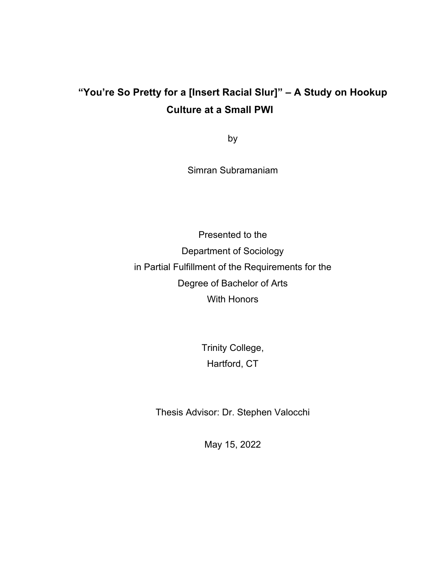# **"You're So Pretty for a [Insert Racial Slur]" – A Study on Hookup Culture at a Small PWI**

by

Simran Subramaniam

Presented to the Department of Sociology in Partial Fulfillment of the Requirements for the Degree of Bachelor of Arts With Honors

> Trinity College, Hartford, CT

Thesis Advisor: Dr. Stephen Valocchi

May 15, 2022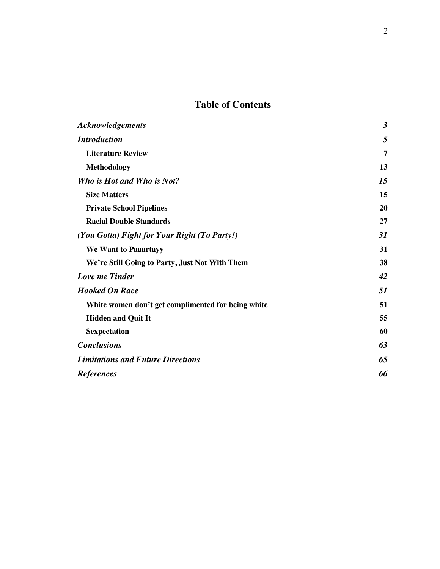# **Table of Contents**

| <b>Acknowledgements</b>                            | $\boldsymbol{\beta}$ |
|----------------------------------------------------|----------------------|
| <b>Introduction</b>                                | 5                    |
| <b>Literature Review</b>                           | 7                    |
| Methodology                                        | 13                   |
| Who is Hot and Who is Not?                         | 15                   |
| <b>Size Matters</b>                                | 15                   |
| <b>Private School Pipelines</b>                    | 20                   |
| <b>Racial Double Standards</b>                     | 27                   |
| (You Gotta) Fight for Your Right (To Party!)       | 31                   |
| <b>We Want to Paaartayy</b>                        | 31                   |
| We're Still Going to Party, Just Not With Them     | 38                   |
| <b>Love me Tinder</b>                              | 42                   |
| <b>Hooked On Race</b>                              | 51                   |
| White women don't get complimented for being white | 51                   |
| <b>Hidden and Quit It</b>                          | 55                   |
| <b>Sexpectation</b>                                | 60                   |
| <b>Conclusions</b>                                 | 63                   |
| <b>Limitations and Future Directions</b>           | 65                   |
| <b>References</b>                                  | 66                   |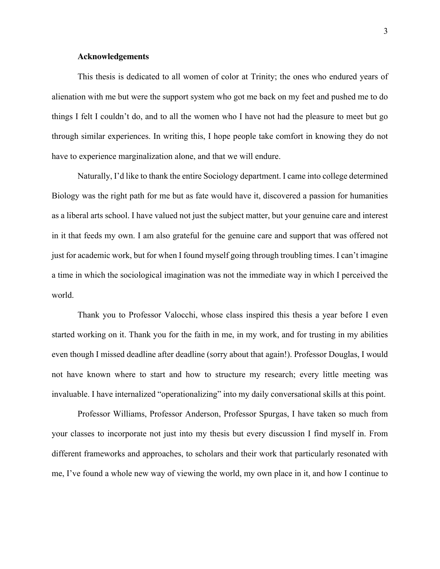#### **Acknowledgements**

This thesis is dedicated to all women of color at Trinity; the ones who endured years of alienation with me but were the support system who got me back on my feet and pushed me to do things I felt I couldn't do, and to all the women who I have not had the pleasure to meet but go through similar experiences. In writing this, I hope people take comfort in knowing they do not have to experience marginalization alone, and that we will endure.

Naturally, I'd like to thank the entire Sociology department. I came into college determined Biology was the right path for me but as fate would have it, discovered a passion for humanities as a liberal arts school. I have valued not just the subject matter, but your genuine care and interest in it that feeds my own. I am also grateful for the genuine care and support that was offered not just for academic work, but for when I found myself going through troubling times. I can't imagine a time in which the sociological imagination was not the immediate way in which I perceived the world.

Thank you to Professor Valocchi, whose class inspired this thesis a year before I even started working on it. Thank you for the faith in me, in my work, and for trusting in my abilities even though I missed deadline after deadline (sorry about that again!). Professor Douglas, I would not have known where to start and how to structure my research; every little meeting was invaluable. I have internalized "operationalizing" into my daily conversational skills at this point.

Professor Williams, Professor Anderson, Professor Spurgas, I have taken so much from your classes to incorporate not just into my thesis but every discussion I find myself in. From different frameworks and approaches, to scholars and their work that particularly resonated with me, I've found a whole new way of viewing the world, my own place in it, and how I continue to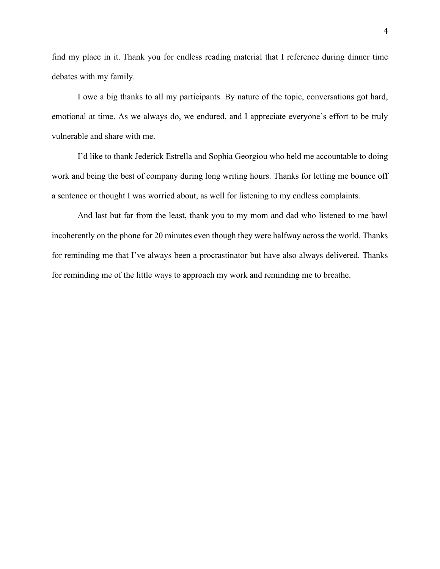find my place in it. Thank you for endless reading material that I reference during dinner time debates with my family.

I owe a big thanks to all my participants. By nature of the topic, conversations got hard, emotional at time. As we always do, we endured, and I appreciate everyone's effort to be truly vulnerable and share with me.

I'd like to thank Jederick Estrella and Sophia Georgiou who held me accountable to doing work and being the best of company during long writing hours. Thanks for letting me bounce off a sentence or thought I was worried about, as well for listening to my endless complaints.

And last but far from the least, thank you to my mom and dad who listened to me bawl incoherently on the phone for 20 minutes even though they were halfway across the world. Thanks for reminding me that I've always been a procrastinator but have also always delivered. Thanks for reminding me of the little ways to approach my work and reminding me to breathe.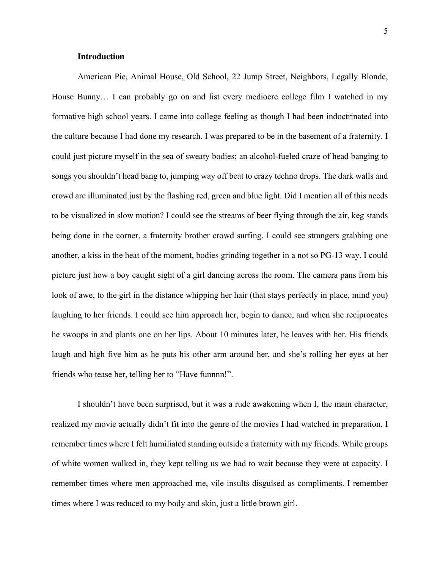#### **Introduction**

American Pie, Animal House, Old School, 22 Jump Street, Neighbors, Legally Blonde, House Bunny… I can probably go on and list every mediocre college film I watched in my formative high school years. I came into college feeling as though I had been indoctrinated into the culture because I had done my research. I was prepared to be in the basement of a fraternity. I could just picture myself in the sea of sweaty bodies; an alcohol-fueled craze of head banging to songs you shouldn't head bang to, jumping way off beat to crazy techno drops. The dark walls and crowd are illuminated just by the flashing red, green and blue light. Did I mention all of this needs to be visualized in slow motion? I could see the streams of beer flying through the air, keg stands being done in the corner, a fraternity brother crowd surfing. I could see strangers grabbing one another, a kiss in the heat of the moment, bodies grinding together in a not so PG-13 way. I could picture just how a boy caught sight of a girl dancing across the room. The camera pans from his look of awe, to the girl in the distance whipping her hair (that stays perfectly in place, mind you) laughing to her friends. I could see him approach her, begin to dance, and when she reciprocates he swoops in and plants one on her lips. About 10 minutes later, he leaves with her. His friends laugh and high five him as he puts his other arm around her, and she's rolling her eyes at her friends who tease her, telling her to "Have funnnn!".

I shouldn't have been surprised, but it was a rude awakening when I, the main character, realized my movie actually didn't fit into the genre of the movies I had watched in preparation. I remember times where I felt humiliated standing outside a fraternity with my friends. While groups of white women walked in, they kept telling us we had to wait because they were at capacity. I remember times where men approached me, vile insults disguised as compliments. I remember times where I was reduced to my body and skin, just a little brown girl.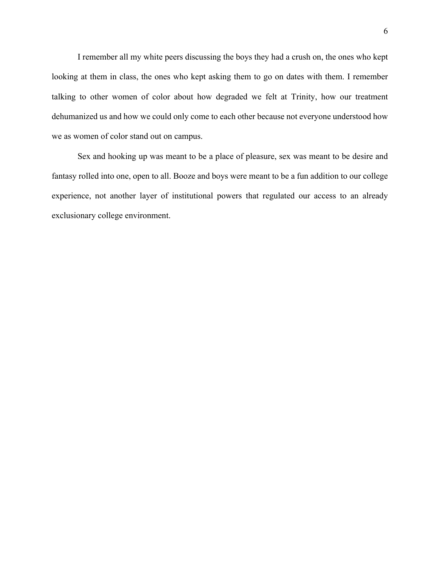I remember all my white peers discussing the boys they had a crush on, the ones who kept looking at them in class, the ones who kept asking them to go on dates with them. I remember talking to other women of color about how degraded we felt at Trinity, how our treatment dehumanized us and how we could only come to each other because not everyone understood how we as women of color stand out on campus.

Sex and hooking up was meant to be a place of pleasure, sex was meant to be desire and fantasy rolled into one, open to all. Booze and boys were meant to be a fun addition to our college experience, not another layer of institutional powers that regulated our access to an already exclusionary college environment.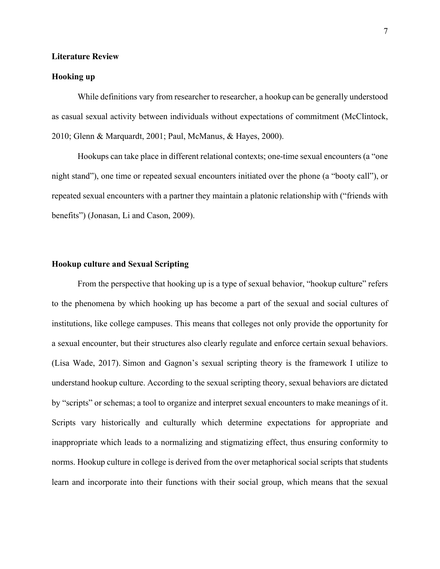#### **Literature Review**

#### **Hooking up**

While definitions vary from researcher to researcher, a hookup can be generally understood as casual sexual activity between individuals without expectations of commitment (McClintock, 2010; Glenn & Marquardt, 2001; Paul, McManus, & Hayes, 2000).

Hookups can take place in different relational contexts; one-time sexual encounters (a "one night stand"), one time or repeated sexual encounters initiated over the phone (a "booty call"), or repeated sexual encounters with a partner they maintain a platonic relationship with ("friends with benefits") (Jonasan, Li and Cason, 2009).

### **Hookup culture and Sexual Scripting**

From the perspective that hooking up is a type of sexual behavior, "hookup culture" refers to the phenomena by which hooking up has become a part of the sexual and social cultures of institutions, like college campuses. This means that colleges not only provide the opportunity for a sexual encounter, but their structures also clearly regulate and enforce certain sexual behaviors. (Lisa Wade, 2017). Simon and Gagnon's sexual scripting theory is the framework I utilize to understand hookup culture. According to the sexual scripting theory, sexual behaviors are dictated by "scripts" or schemas; a tool to organize and interpret sexual encounters to make meanings of it. Scripts vary historically and culturally which determine expectations for appropriate and inappropriate which leads to a normalizing and stigmatizing effect, thus ensuring conformity to norms. Hookup culture in college is derived from the over metaphorical social scripts that students learn and incorporate into their functions with their social group, which means that the sexual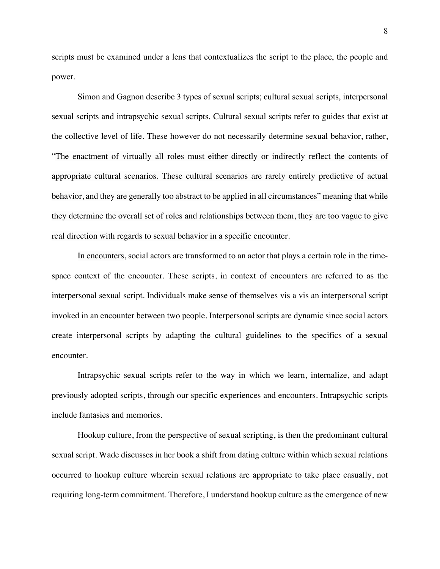scripts must be examined under a lens that contextualizes the script to the place, the people and power.

Simon and Gagnon describe 3 types of sexual scripts; cultural sexual scripts, interpersonal sexual scripts and intrapsychic sexual scripts. Cultural sexual scripts refer to guides that exist at the collective level of life. These however do not necessarily determine sexual behavior, rather, "The enactment of virtually all roles must either directly or indirectly reflect the contents of appropriate cultural scenarios. These cultural scenarios are rarely entirely predictive of actual behavior, and they are generally too abstract to be applied in all circumstances" meaning that while they determine the overall set of roles and relationships between them, they are too vague to give real direction with regards to sexual behavior in a specific encounter.

In encounters, social actors are transformed to an actor that plays a certain role in the timespace context of the encounter. These scripts, in context of encounters are referred to as the interpersonal sexual script. Individuals make sense of themselves vis a vis an interpersonal script invoked in an encounter between two people. Interpersonal scripts are dynamic since social actors create interpersonal scripts by adapting the cultural guidelines to the specifics of a sexual encounter.

Intrapsychic sexual scripts refer to the way in which we learn, internalize, and adapt previously adopted scripts, through our specific experiences and encounters. Intrapsychic scripts include fantasies and memories.

Hookup culture, from the perspective of sexual scripting, is then the predominant cultural sexual script. Wade discusses in her book a shift from dating culture within which sexual relations occurred to hookup culture wherein sexual relations are appropriate to take place casually, not requiring long-term commitment. Therefore, I understand hookup culture as the emergence of new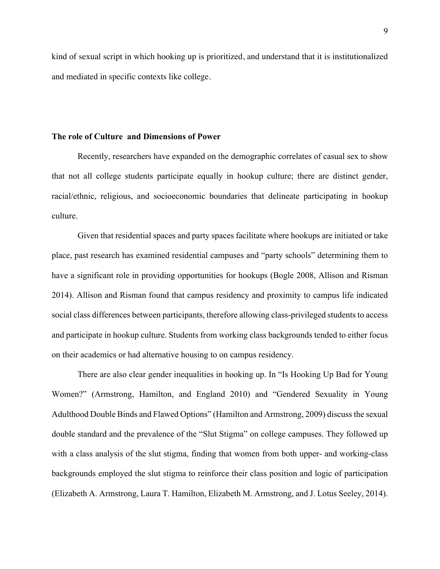kind of sexual script in which hooking up is prioritized, and understand that it is institutionalized and mediated in specific contexts like college.

#### **The role of Culture and Dimensions of Power**

Recently, researchers have expanded on the demographic correlates of casual sex to show that not all college students participate equally in hookup culture; there are distinct gender, racial/ethnic, religious, and socioeconomic boundaries that delineate participating in hookup culture.

Given that residential spaces and party spaces facilitate where hookups are initiated or take place, past research has examined residential campuses and "party schools" determining them to have a significant role in providing opportunities for hookups (Bogle 2008, Allison and Risman 2014). Allison and Risman found that campus residency and proximity to campus life indicated social class differences between participants, therefore allowing class-privileged students to access and participate in hookup culture. Students from working class backgrounds tended to either focus on their academics or had alternative housing to on campus residency.

There are also clear gender inequalities in hooking up. In "Is Hooking Up Bad for Young Women?" (Armstrong, Hamilton, and England 2010) and "Gendered Sexuality in Young Adulthood Double Binds and Flawed Options" (Hamilton and Armstrong, 2009) discuss the sexual double standard and the prevalence of the "Slut Stigma" on college campuses. They followed up with a class analysis of the slut stigma, finding that women from both upper- and working-class backgrounds employed the slut stigma to reinforce their class position and logic of participation (Elizabeth A. Armstrong, Laura T. Hamilton, Elizabeth M. Armstrong, and J. Lotus Seeley, 2014).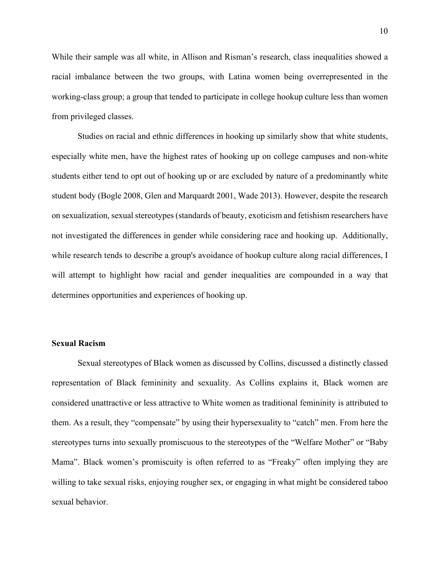While their sample was all white, in Allison and Risman's research, class inequalities showed a racial imbalance between the two groups, with Latina women being overrepresented in the working-class group; a group that tended to participate in college hookup culture less than women from privileged classes.

Studies on racial and ethnic differences in hooking up similarly show that white students, especially white men, have the highest rates of hooking up on college campuses and non-white students either tend to opt out of hooking up or are excluded by nature of a predominantly white student body (Bogle 2008, Glen and Marquardt 2001, Wade 2013). However, despite the research on sexualization, sexual stereotypes (standards of beauty, exoticism and fetishism researchers have not investigated the differences in gender while considering race and hooking up. Additionally, while research tends to describe a group's avoidance of hookup culture along racial differences, I will attempt to highlight how racial and gender inequalities are compounded in a way that determines opportunities and experiences of hooking up.

#### **Sexual Racism**

Sexual stereotypes of Black women as discussed by Collins, discussed a distinctly classed representation of Black femininity and sexuality. As Collins explains it, Black women are considered unattractive or less attractive to White women as traditional femininity is attributed to them. As a result, they "compensate" by using their hypersexuality to "catch" men. From here the stereotypes turns into sexually promiscuous to the stereotypes of the "Welfare Mother" or "Baby Mama". Black women's promiscuity is often referred to as "Freaky" often implying they are willing to take sexual risks, enjoying rougher sex, or engaging in what might be considered taboo sexual behavior.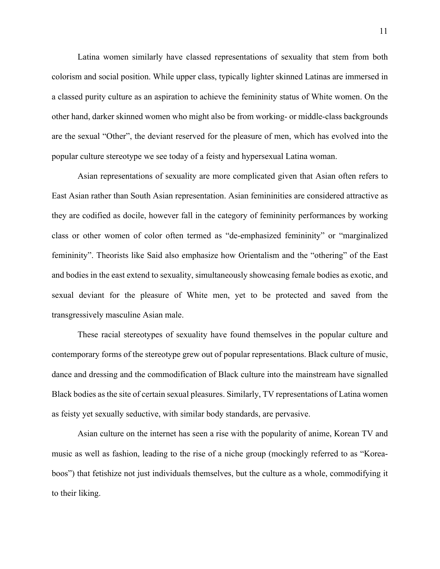Latina women similarly have classed representations of sexuality that stem from both colorism and social position. While upper class, typically lighter skinned Latinas are immersed in a classed purity culture as an aspiration to achieve the femininity status of White women. On the other hand, darker skinned women who might also be from working- or middle-class backgrounds are the sexual "Other", the deviant reserved for the pleasure of men, which has evolved into the popular culture stereotype we see today of a feisty and hypersexual Latina woman.

Asian representations of sexuality are more complicated given that Asian often refers to East Asian rather than South Asian representation. Asian femininities are considered attractive as they are codified as docile, however fall in the category of femininity performances by working class or other women of color often termed as "de-emphasized femininity" or "marginalized femininity". Theorists like Said also emphasize how Orientalism and the "othering" of the East and bodies in the east extend to sexuality, simultaneously showcasing female bodies as exotic, and sexual deviant for the pleasure of White men, yet to be protected and saved from the transgressively masculine Asian male.

These racial stereotypes of sexuality have found themselves in the popular culture and contemporary forms of the stereotype grew out of popular representations. Black culture of music, dance and dressing and the commodification of Black culture into the mainstream have signalled Black bodies as the site of certain sexual pleasures. Similarly, TV representations of Latina women as feisty yet sexually seductive, with similar body standards, are pervasive.

Asian culture on the internet has seen a rise with the popularity of anime, Korean TV and music as well as fashion, leading to the rise of a niche group (mockingly referred to as "Koreaboos") that fetishize not just individuals themselves, but the culture as a whole, commodifying it to their liking.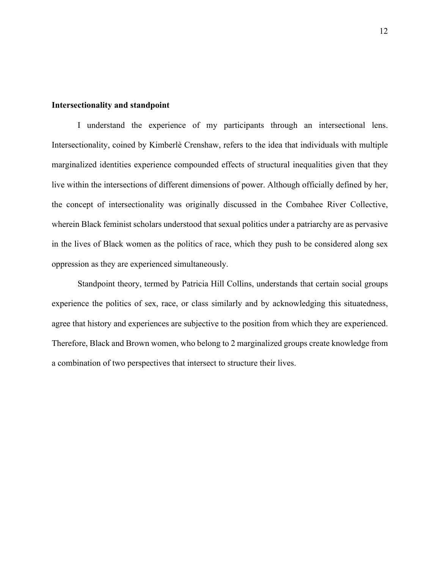#### **Intersectionality and standpoint**

I understand the experience of my participants through an intersectional lens. Intersectionality, coined by Kimberlè Crenshaw, refers to the idea that individuals with multiple marginalized identities experience compounded effects of structural inequalities given that they live within the intersections of different dimensions of power. Although officially defined by her, the concept of intersectionality was originally discussed in the Combahee River Collective, wherein Black feminist scholars understood that sexual politics under a patriarchy are as pervasive in the lives of Black women as the politics of race, which they push to be considered along sex oppression as they are experienced simultaneously.

Standpoint theory, termed by Patricia Hill Collins, understands that certain social groups experience the politics of sex, race, or class similarly and by acknowledging this situatedness, agree that history and experiences are subjective to the position from which they are experienced. Therefore, Black and Brown women, who belong to 2 marginalized groups create knowledge from a combination of two perspectives that intersect to structure their lives.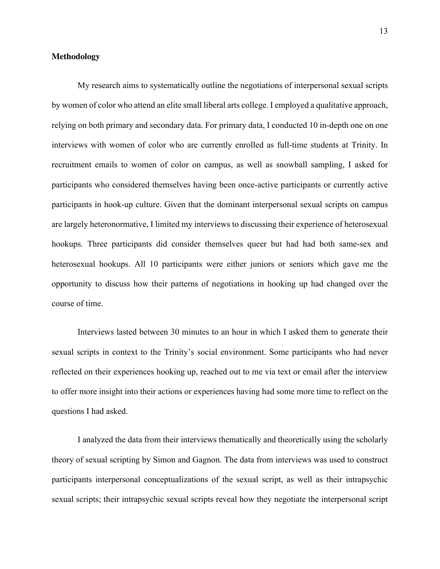#### **Methodology**

My research aims to systematically outline the negotiations of interpersonal sexual scripts by women of color who attend an elite small liberal arts college. I employed a qualitative approach, relying on both primary and secondary data. For primary data, I conducted 10 in-depth one on one interviews with women of color who are currently enrolled as full-time students at Trinity. In recruitment emails to women of color on campus, as well as snowball sampling, I asked for participants who considered themselves having been once-active participants or currently active participants in hook-up culture. Given that the dominant interpersonal sexual scripts on campus are largely heteronormative, I limited my interviews to discussing their experience of heterosexual hookups. Three participants did consider themselves queer but had had both same-sex and heterosexual hookups. All 10 participants were either juniors or seniors which gave me the opportunity to discuss how their patterns of negotiations in hooking up had changed over the course of time.

Interviews lasted between 30 minutes to an hour in which I asked them to generate their sexual scripts in context to the Trinity's social environment. Some participants who had never reflected on their experiences hooking up, reached out to me via text or email after the interview to offer more insight into their actions or experiences having had some more time to reflect on the questions I had asked.

I analyzed the data from their interviews thematically and theoretically using the scholarly theory of sexual scripting by Simon and Gagnon. The data from interviews was used to construct participants interpersonal conceptualizations of the sexual script, as well as their intrapsychic sexual scripts; their intrapsychic sexual scripts reveal how they negotiate the interpersonal script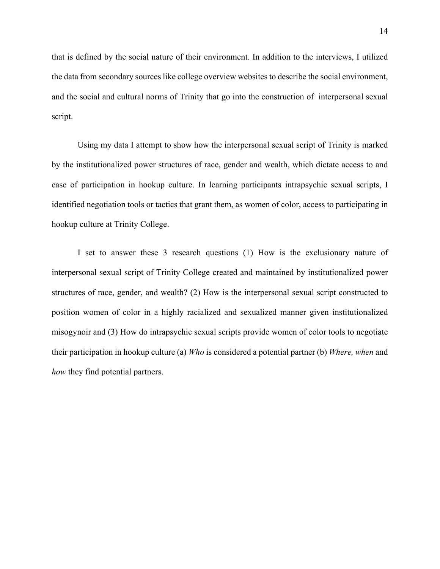that is defined by the social nature of their environment. In addition to the interviews, I utilized the data from secondary sources like college overview websites to describe the social environment, and the social and cultural norms of Trinity that go into the construction of interpersonal sexual script.

Using my data I attempt to show how the interpersonal sexual script of Trinity is marked by the institutionalized power structures of race, gender and wealth, which dictate access to and ease of participation in hookup culture. In learning participants intrapsychic sexual scripts, I identified negotiation tools or tactics that grant them, as women of color, access to participating in hookup culture at Trinity College.

I set to answer these 3 research questions (1) How is the exclusionary nature of interpersonal sexual script of Trinity College created and maintained by institutionalized power structures of race, gender, and wealth? (2) How is the interpersonal sexual script constructed to position women of color in a highly racialized and sexualized manner given institutionalized misogynoir and (3) How do intrapsychic sexual scripts provide women of color tools to negotiate their participation in hookup culture (a) *Who* is considered a potential partner (b) *Where, when* and *how* they find potential partners.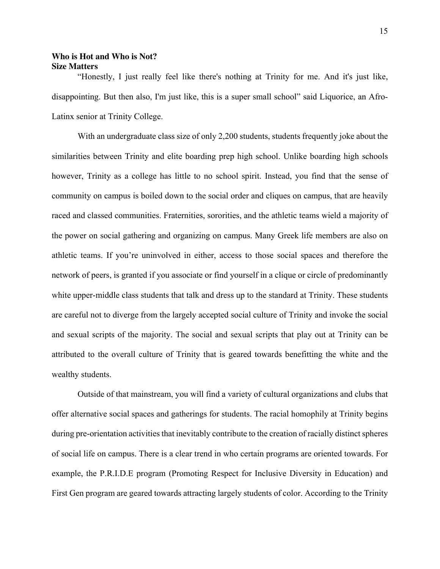# **Who is Hot and Who is Not? Size Matters**

"Honestly, I just really feel like there's nothing at Trinity for me. And it's just like, disappointing. But then also, I'm just like, this is a super small school" said Liquorice, an Afro-Latinx senior at Trinity College.

With an undergraduate class size of only 2,200 students, students frequently joke about the similarities between Trinity and elite boarding prep high school. Unlike boarding high schools however, Trinity as a college has little to no school spirit. Instead, you find that the sense of community on campus is boiled down to the social order and cliques on campus, that are heavily raced and classed communities. Fraternities, sororities, and the athletic teams wield a majority of the power on social gathering and organizing on campus. Many Greek life members are also on athletic teams. If you're uninvolved in either, access to those social spaces and therefore the network of peers, is granted if you associate or find yourself in a clique or circle of predominantly white upper-middle class students that talk and dress up to the standard at Trinity. These students are careful not to diverge from the largely accepted social culture of Trinity and invoke the social and sexual scripts of the majority. The social and sexual scripts that play out at Trinity can be attributed to the overall culture of Trinity that is geared towards benefitting the white and the wealthy students.

Outside of that mainstream, you will find a variety of cultural organizations and clubs that offer alternative social spaces and gatherings for students. The racial homophily at Trinity begins during pre-orientation activities that inevitably contribute to the creation of racially distinct spheres of social life on campus. There is a clear trend in who certain programs are oriented towards. For example, the P.R.I.D.E program (Promoting Respect for Inclusive Diversity in Education) and First Gen program are geared towards attracting largely students of color. According to the Trinity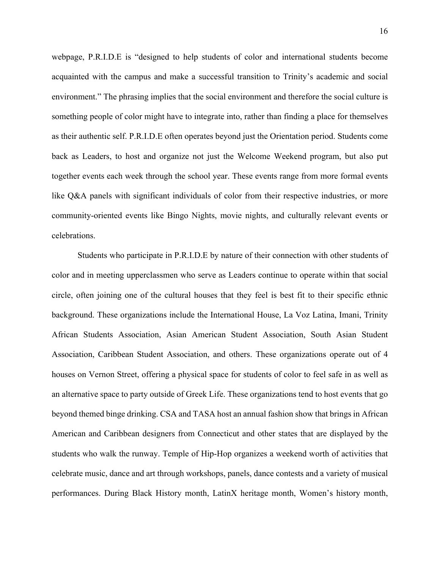webpage, P.R.I.D.E is "designed to help students of color and international students become acquainted with the campus and make a successful transition to Trinity's academic and social environment." The phrasing implies that the social environment and therefore the social culture is something people of color might have to integrate into, rather than finding a place for themselves as their authentic self. P.R.I.D.E often operates beyond just the Orientation period. Students come back as Leaders, to host and organize not just the Welcome Weekend program, but also put together events each week through the school year. These events range from more formal events like Q&A panels with significant individuals of color from their respective industries, or more community-oriented events like Bingo Nights, movie nights, and culturally relevant events or celebrations.

Students who participate in P.R.I.D.E by nature of their connection with other students of color and in meeting upperclassmen who serve as Leaders continue to operate within that social circle, often joining one of the cultural houses that they feel is best fit to their specific ethnic background. These organizations include the International House, La Voz Latina, Imani, Trinity African Students Association, Asian American Student Association, South Asian Student Association, Caribbean Student Association, and others. These organizations operate out of 4 houses on Vernon Street, offering a physical space for students of color to feel safe in as well as an alternative space to party outside of Greek Life. These organizations tend to host events that go beyond themed binge drinking. CSA and TASA host an annual fashion show that brings in African American and Caribbean designers from Connecticut and other states that are displayed by the students who walk the runway. Temple of Hip-Hop organizes a weekend worth of activities that celebrate music, dance and art through workshops, panels, dance contests and a variety of musical performances. During Black History month, LatinX heritage month, Women's history month,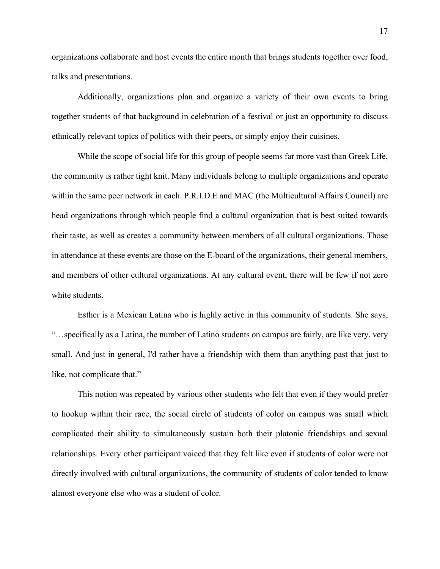organizations collaborate and host events the entire month that brings students together over food, talks and presentations.

Additionally, organizations plan and organize a variety of their own events to bring together students of that background in celebration of a festival or just an opportunity to discuss ethnically relevant topics of politics with their peers, or simply enjoy their cuisines.

While the scope of social life for this group of people seems far more vast than Greek Life, the community is rather tight knit. Many individuals belong to multiple organizations and operate within the same peer network in each. P.R.I.D.E and MAC (the Multicultural Affairs Council) are head organizations through which people find a cultural organization that is best suited towards their taste, as well as creates a community between members of all cultural organizations. Those in attendance at these events are those on the E-board of the organizations, their general members, and members of other cultural organizations. At any cultural event, there will be few if not zero white students.

Esther is a Mexican Latina who is highly active in this community of students. She says, "…specifically as a Latina, the number of Latino students on campus are fairly, are like very, very small. And just in general, I'd rather have a friendship with them than anything past that just to like, not complicate that."

This notion was repeated by various other students who felt that even if they would prefer to hookup within their race, the social circle of students of color on campus was small which complicated their ability to simultaneously sustain both their platonic friendships and sexual relationships. Every other participant voiced that they felt like even if students of color were not directly involved with cultural organizations, the community of students of color tended to know almost everyone else who was a student of color.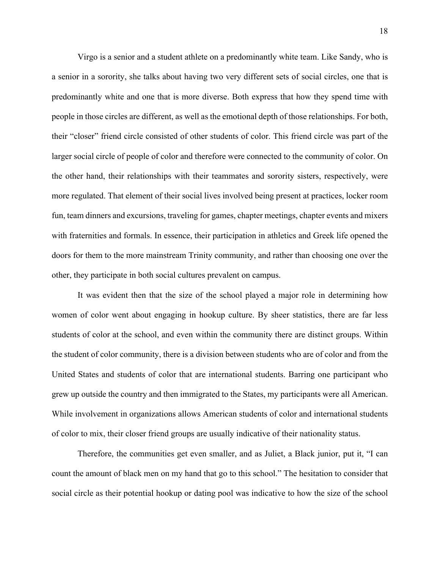Virgo is a senior and a student athlete on a predominantly white team. Like Sandy, who is a senior in a sorority, she talks about having two very different sets of social circles, one that is predominantly white and one that is more diverse. Both express that how they spend time with people in those circles are different, as well as the emotional depth of those relationships. For both, their "closer" friend circle consisted of other students of color. This friend circle was part of the larger social circle of people of color and therefore were connected to the community of color. On the other hand, their relationships with their teammates and sorority sisters, respectively, were more regulated. That element of their social lives involved being present at practices, locker room fun, team dinners and excursions, traveling for games, chapter meetings, chapter events and mixers with fraternities and formals. In essence, their participation in athletics and Greek life opened the doors for them to the more mainstream Trinity community, and rather than choosing one over the other, they participate in both social cultures prevalent on campus.

It was evident then that the size of the school played a major role in determining how women of color went about engaging in hookup culture. By sheer statistics, there are far less students of color at the school, and even within the community there are distinct groups. Within the student of color community, there is a division between students who are of color and from the United States and students of color that are international students. Barring one participant who grew up outside the country and then immigrated to the States, my participants were all American. While involvement in organizations allows American students of color and international students of color to mix, their closer friend groups are usually indicative of their nationality status.

Therefore, the communities get even smaller, and as Juliet, a Black junior, put it, "I can count the amount of black men on my hand that go to this school." The hesitation to consider that social circle as their potential hookup or dating pool was indicative to how the size of the school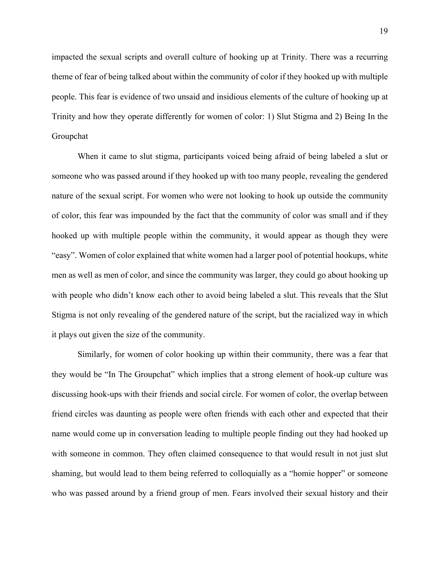impacted the sexual scripts and overall culture of hooking up at Trinity. There was a recurring theme of fear of being talked about within the community of color if they hooked up with multiple people. This fear is evidence of two unsaid and insidious elements of the culture of hooking up at Trinity and how they operate differently for women of color: 1) Slut Stigma and 2) Being In the Groupchat

When it came to slut stigma, participants voiced being afraid of being labeled a slut or someone who was passed around if they hooked up with too many people, revealing the gendered nature of the sexual script. For women who were not looking to hook up outside the community of color, this fear was impounded by the fact that the community of color was small and if they hooked up with multiple people within the community, it would appear as though they were "easy". Women of color explained that white women had a larger pool of potential hookups, white men as well as men of color, and since the community was larger, they could go about hooking up with people who didn't know each other to avoid being labeled a slut. This reveals that the Slut Stigma is not only revealing of the gendered nature of the script, but the racialized way in which it plays out given the size of the community.

Similarly, for women of color hooking up within their community, there was a fear that they would be "In The Groupchat" which implies that a strong element of hook-up culture was discussing hook-ups with their friends and social circle. For women of color, the overlap between friend circles was daunting as people were often friends with each other and expected that their name would come up in conversation leading to multiple people finding out they had hooked up with someone in common. They often claimed consequence to that would result in not just slut shaming, but would lead to them being referred to colloquially as a "homie hopper" or someone who was passed around by a friend group of men. Fears involved their sexual history and their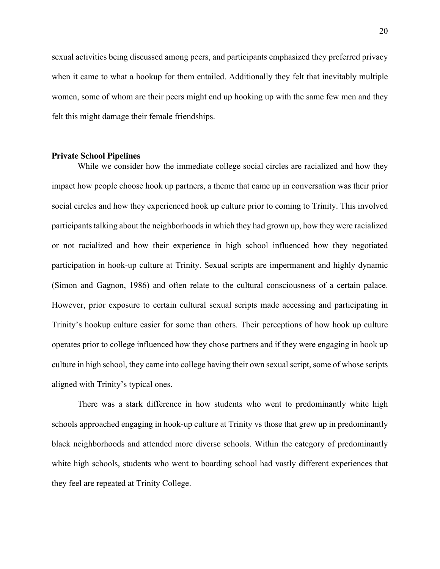sexual activities being discussed among peers, and participants emphasized they preferred privacy when it came to what a hookup for them entailed. Additionally they felt that inevitably multiple women, some of whom are their peers might end up hooking up with the same few men and they felt this might damage their female friendships.

#### **Private School Pipelines**

While we consider how the immediate college social circles are racialized and how they impact how people choose hook up partners, a theme that came up in conversation was their prior social circles and how they experienced hook up culture prior to coming to Trinity. This involved participants talking about the neighborhoods in which they had grown up, how they were racialized or not racialized and how their experience in high school influenced how they negotiated participation in hook-up culture at Trinity. Sexual scripts are impermanent and highly dynamic (Simon and Gagnon, 1986) and often relate to the cultural consciousness of a certain palace. However, prior exposure to certain cultural sexual scripts made accessing and participating in Trinity's hookup culture easier for some than others. Their perceptions of how hook up culture operates prior to college influenced how they chose partners and if they were engaging in hook up culture in high school, they came into college having their own sexual script, some of whose scripts aligned with Trinity's typical ones.

There was a stark difference in how students who went to predominantly white high schools approached engaging in hook-up culture at Trinity vs those that grew up in predominantly black neighborhoods and attended more diverse schools. Within the category of predominantly white high schools, students who went to boarding school had vastly different experiences that they feel are repeated at Trinity College.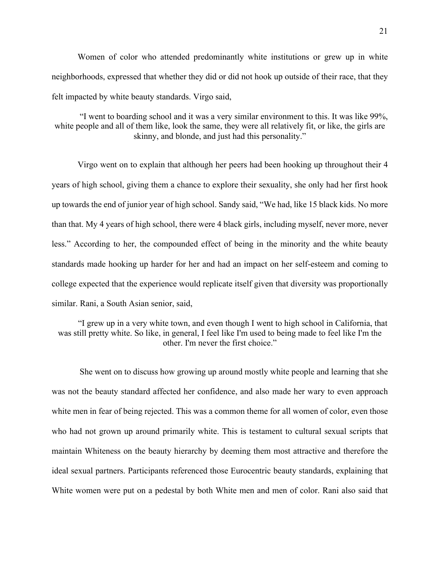Women of color who attended predominantly white institutions or grew up in white neighborhoods, expressed that whether they did or did not hook up outside of their race, that they felt impacted by white beauty standards. Virgo said,

"I went to boarding school and it was a very similar environment to this. It was like 99%, white people and all of them like, look the same, they were all relatively fit, or like, the girls are skinny, and blonde, and just had this personality."

Virgo went on to explain that although her peers had been hooking up throughout their 4 years of high school, giving them a chance to explore their sexuality, she only had her first hook up towards the end of junior year of high school. Sandy said, "We had, like 15 black kids. No more than that. My 4 years of high school, there were 4 black girls, including myself, never more, never less." According to her, the compounded effect of being in the minority and the white beauty standards made hooking up harder for her and had an impact on her self-esteem and coming to college expected that the experience would replicate itself given that diversity was proportionally similar. Rani, a South Asian senior, said,

"I grew up in a very white town, and even though I went to high school in California, that was still pretty white. So like, in general, I feel like I'm used to being made to feel like I'm the other. I'm never the first choice."

She went on to discuss how growing up around mostly white people and learning that she was not the beauty standard affected her confidence, and also made her wary to even approach white men in fear of being rejected. This was a common theme for all women of color, even those who had not grown up around primarily white. This is testament to cultural sexual scripts that maintain Whiteness on the beauty hierarchy by deeming them most attractive and therefore the ideal sexual partners. Participants referenced those Eurocentric beauty standards, explaining that White women were put on a pedestal by both White men and men of color. Rani also said that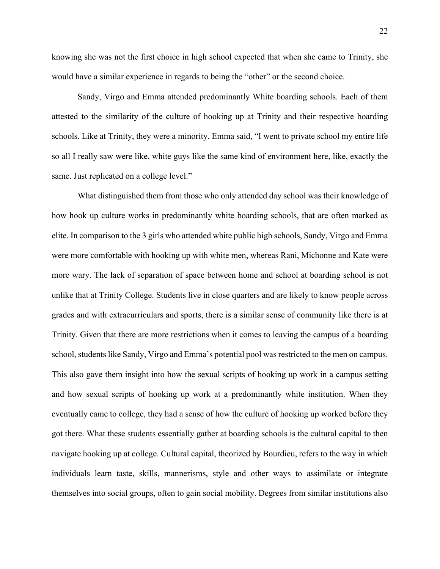22

knowing she was not the first choice in high school expected that when she came to Trinity, she would have a similar experience in regards to being the "other" or the second choice.

Sandy, Virgo and Emma attended predominantly White boarding schools. Each of them attested to the similarity of the culture of hooking up at Trinity and their respective boarding schools. Like at Trinity, they were a minority. Emma said, "I went to private school my entire life so all I really saw were like, white guys like the same kind of environment here, like, exactly the same. Just replicated on a college level."

What distinguished them from those who only attended day school was their knowledge of how hook up culture works in predominantly white boarding schools, that are often marked as elite. In comparison to the 3 girls who attended white public high schools, Sandy, Virgo and Emma were more comfortable with hooking up with white men, whereas Rani, Michonne and Kate were more wary. The lack of separation of space between home and school at boarding school is not unlike that at Trinity College. Students live in close quarters and are likely to know people across grades and with extracurriculars and sports, there is a similar sense of community like there is at Trinity. Given that there are more restrictions when it comes to leaving the campus of a boarding school, students like Sandy, Virgo and Emma's potential pool was restricted to the men on campus. This also gave them insight into how the sexual scripts of hooking up work in a campus setting and how sexual scripts of hooking up work at a predominantly white institution. When they eventually came to college, they had a sense of how the culture of hooking up worked before they got there. What these students essentially gather at boarding schools is the cultural capital to then navigate hooking up at college. Cultural capital, theorized by Bourdieu, refers to the way in which individuals learn taste, skills, mannerisms, style and other ways to assimilate or integrate themselves into social groups, often to gain social mobility. Degrees from similar institutions also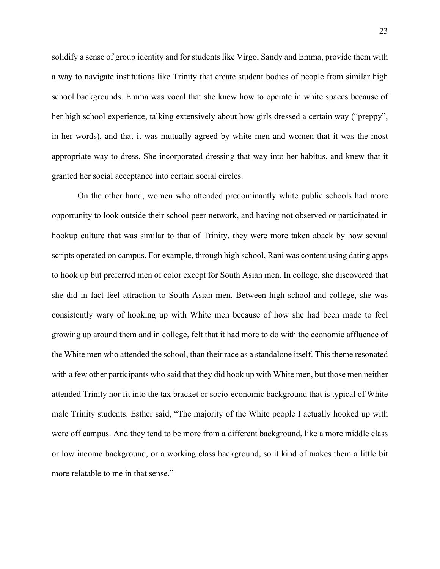solidify a sense of group identity and for students like Virgo, Sandy and Emma, provide them with a way to navigate institutions like Trinity that create student bodies of people from similar high school backgrounds. Emma was vocal that she knew how to operate in white spaces because of her high school experience, talking extensively about how girls dressed a certain way ("preppy", in her words), and that it was mutually agreed by white men and women that it was the most appropriate way to dress. She incorporated dressing that way into her habitus, and knew that it granted her social acceptance into certain social circles.

On the other hand, women who attended predominantly white public schools had more opportunity to look outside their school peer network, and having not observed or participated in hookup culture that was similar to that of Trinity, they were more taken aback by how sexual scripts operated on campus. For example, through high school, Rani was content using dating apps to hook up but preferred men of color except for South Asian men. In college, she discovered that she did in fact feel attraction to South Asian men. Between high school and college, she was consistently wary of hooking up with White men because of how she had been made to feel growing up around them and in college, felt that it had more to do with the economic affluence of the White men who attended the school, than their race as a standalone itself. This theme resonated with a few other participants who said that they did hook up with White men, but those men neither attended Trinity nor fit into the tax bracket or socio-economic background that is typical of White male Trinity students. Esther said, "The majority of the White people I actually hooked up with were off campus. And they tend to be more from a different background, like a more middle class or low income background, or a working class background, so it kind of makes them a little bit more relatable to me in that sense."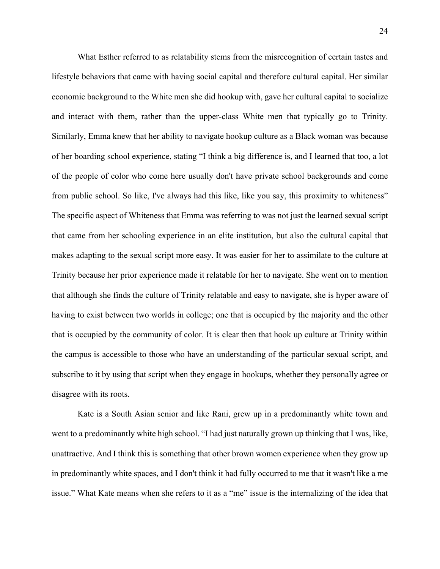What Esther referred to as relatability stems from the misrecognition of certain tastes and lifestyle behaviors that came with having social capital and therefore cultural capital. Her similar economic background to the White men she did hookup with, gave her cultural capital to socialize and interact with them, rather than the upper-class White men that typically go to Trinity. Similarly, Emma knew that her ability to navigate hookup culture as a Black woman was because of her boarding school experience, stating "I think a big difference is, and I learned that too, a lot of the people of color who come here usually don't have private school backgrounds and come from public school. So like, I've always had this like, like you say, this proximity to whiteness" The specific aspect of Whiteness that Emma was referring to was not just the learned sexual script that came from her schooling experience in an elite institution, but also the cultural capital that makes adapting to the sexual script more easy. It was easier for her to assimilate to the culture at Trinity because her prior experience made it relatable for her to navigate. She went on to mention that although she finds the culture of Trinity relatable and easy to navigate, she is hyper aware of having to exist between two worlds in college; one that is occupied by the majority and the other that is occupied by the community of color. It is clear then that hook up culture at Trinity within the campus is accessible to those who have an understanding of the particular sexual script, and subscribe to it by using that script when they engage in hookups, whether they personally agree or disagree with its roots.

Kate is a South Asian senior and like Rani, grew up in a predominantly white town and went to a predominantly white high school. "I had just naturally grown up thinking that I was, like, unattractive. And I think this is something that other brown women experience when they grow up in predominantly white spaces, and I don't think it had fully occurred to me that it wasn't like a me issue." What Kate means when she refers to it as a "me" issue is the internalizing of the idea that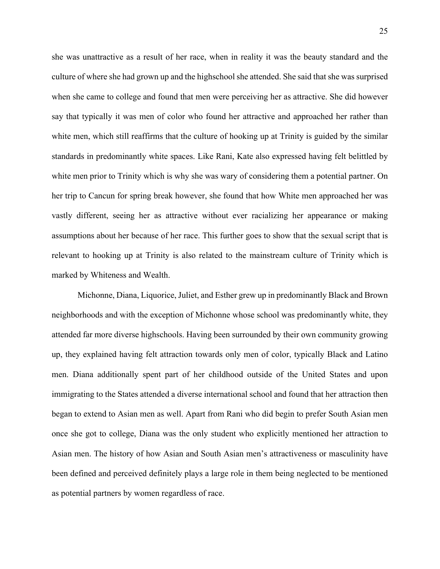she was unattractive as a result of her race, when in reality it was the beauty standard and the culture of where she had grown up and the highschool she attended. She said that she was surprised when she came to college and found that men were perceiving her as attractive. She did however say that typically it was men of color who found her attractive and approached her rather than white men, which still reaffirms that the culture of hooking up at Trinity is guided by the similar standards in predominantly white spaces. Like Rani, Kate also expressed having felt belittled by white men prior to Trinity which is why she was wary of considering them a potential partner. On her trip to Cancun for spring break however, she found that how White men approached her was vastly different, seeing her as attractive without ever racializing her appearance or making assumptions about her because of her race. This further goes to show that the sexual script that is relevant to hooking up at Trinity is also related to the mainstream culture of Trinity which is marked by Whiteness and Wealth.

Michonne, Diana, Liquorice, Juliet, and Esther grew up in predominantly Black and Brown neighborhoods and with the exception of Michonne whose school was predominantly white, they attended far more diverse highschools. Having been surrounded by their own community growing up, they explained having felt attraction towards only men of color, typically Black and Latino men. Diana additionally spent part of her childhood outside of the United States and upon immigrating to the States attended a diverse international school and found that her attraction then began to extend to Asian men as well. Apart from Rani who did begin to prefer South Asian men once she got to college, Diana was the only student who explicitly mentioned her attraction to Asian men. The history of how Asian and South Asian men's attractiveness or masculinity have been defined and perceived definitely plays a large role in them being neglected to be mentioned as potential partners by women regardless of race.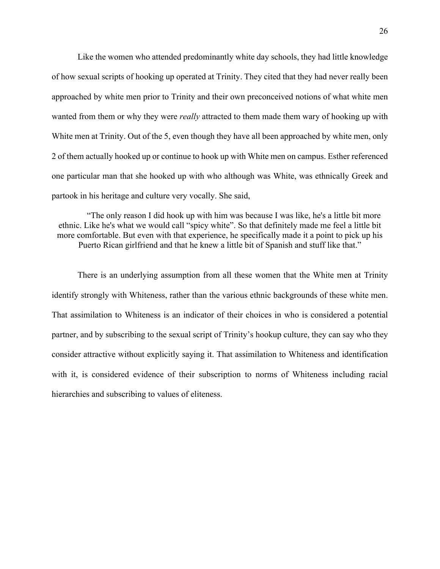Like the women who attended predominantly white day schools, they had little knowledge of how sexual scripts of hooking up operated at Trinity. They cited that they had never really been approached by white men prior to Trinity and their own preconceived notions of what white men wanted from them or why they were *really* attracted to them made them wary of hooking up with White men at Trinity. Out of the 5, even though they have all been approached by white men, only 2 of them actually hooked up or continue to hook up with White men on campus. Esther referenced one particular man that she hooked up with who although was White, was ethnically Greek and partook in his heritage and culture very vocally. She said,

"The only reason I did hook up with him was because I was like, he's a little bit more ethnic. Like he's what we would call "spicy white". So that definitely made me feel a little bit more comfortable. But even with that experience, he specifically made it a point to pick up his Puerto Rican girlfriend and that he knew a little bit of Spanish and stuff like that."

There is an underlying assumption from all these women that the White men at Trinity identify strongly with Whiteness, rather than the various ethnic backgrounds of these white men. That assimilation to Whiteness is an indicator of their choices in who is considered a potential partner, and by subscribing to the sexual script of Trinity's hookup culture, they can say who they consider attractive without explicitly saying it. That assimilation to Whiteness and identification with it, is considered evidence of their subscription to norms of Whiteness including racial hierarchies and subscribing to values of eliteness.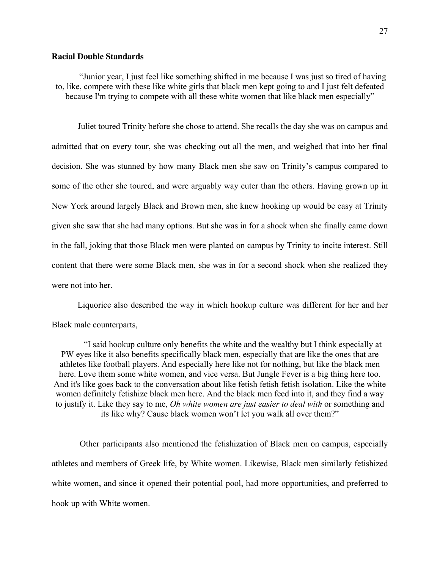#### **Racial Double Standards**

"Junior year, I just feel like something shifted in me because I was just so tired of having to, like, compete with these like white girls that black men kept going to and I just felt defeated because I'm trying to compete with all these white women that like black men especially"

Juliet toured Trinity before she chose to attend. She recalls the day she was on campus and admitted that on every tour, she was checking out all the men, and weighed that into her final decision. She was stunned by how many Black men she saw on Trinity's campus compared to some of the other she toured, and were arguably way cuter than the others. Having grown up in New York around largely Black and Brown men, she knew hooking up would be easy at Trinity given she saw that she had many options. But she was in for a shock when she finally came down in the fall, joking that those Black men were planted on campus by Trinity to incite interest. Still content that there were some Black men, she was in for a second shock when she realized they were not into her.

Liquorice also described the way in which hookup culture was different for her and her Black male counterparts,

"I said hookup culture only benefits the white and the wealthy but I think especially at PW eyes like it also benefits specifically black men, especially that are like the ones that are athletes like football players. And especially here like not for nothing, but like the black men here. Love them some white women, and vice versa. But Jungle Fever is a big thing here too. And it's like goes back to the conversation about like fetish fetish fetish isolation. Like the white women definitely fetishize black men here. And the black men feed into it, and they find a way to justify it. Like they say to me, *Oh white women are just easier to deal with* or something and its like why? Cause black women won't let you walk all over them?"

Other participants also mentioned the fetishization of Black men on campus, especially athletes and members of Greek life, by White women. Likewise, Black men similarly fetishized white women, and since it opened their potential pool, had more opportunities, and preferred to hook up with White women.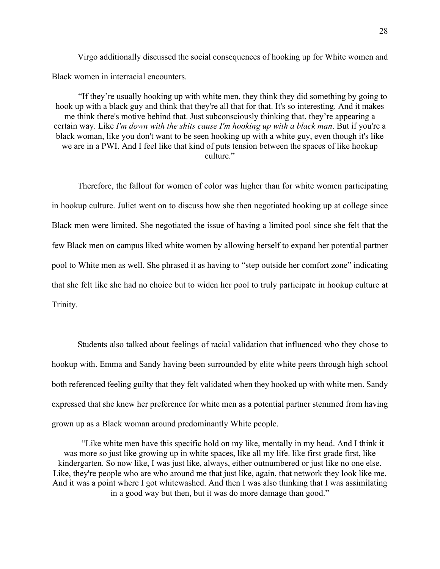Virgo additionally discussed the social consequences of hooking up for White women and Black women in interracial encounters.

"If they're usually hooking up with white men, they think they did something by going to hook up with a black guy and think that they're all that for that. It's so interesting. And it makes me think there's motive behind that. Just subconsciously thinking that, they're appearing a certain way. Like *I'm down with the shits cause I'm hooking up with a black man*. But if you're a black woman, like you don't want to be seen hooking up with a white guy, even though it's like we are in a PWI. And I feel like that kind of puts tension between the spaces of like hookup culture."

Therefore, the fallout for women of color was higher than for white women participating in hookup culture. Juliet went on to discuss how she then negotiated hooking up at college since Black men were limited. She negotiated the issue of having a limited pool since she felt that the few Black men on campus liked white women by allowing herself to expand her potential partner pool to White men as well. She phrased it as having to "step outside her comfort zone" indicating that she felt like she had no choice but to widen her pool to truly participate in hookup culture at Trinity.

Students also talked about feelings of racial validation that influenced who they chose to hookup with. Emma and Sandy having been surrounded by elite white peers through high school both referenced feeling guilty that they felt validated when they hooked up with white men. Sandy expressed that she knew her preference for white men as a potential partner stemmed from having grown up as a Black woman around predominantly White people.

"Like white men have this specific hold on my like, mentally in my head. And I think it was more so just like growing up in white spaces, like all my life. like first grade first, like kindergarten. So now like, I was just like, always, either outnumbered or just like no one else. Like, they're people who are who around me that just like, again, that network they look like me. And it was a point where I got whitewashed. And then I was also thinking that I was assimilating in a good way but then, but it was do more damage than good."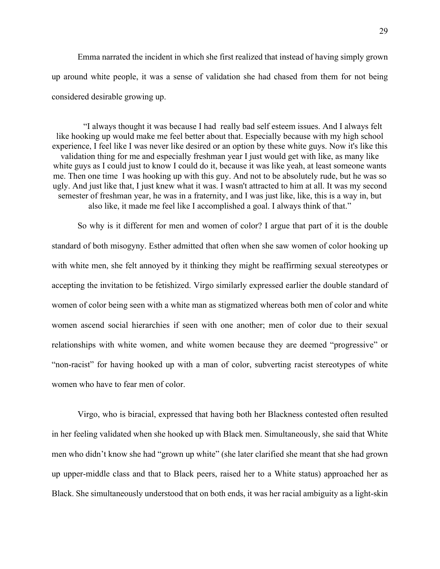Emma narrated the incident in which she first realized that instead of having simply grown up around white people, it was a sense of validation she had chased from them for not being considered desirable growing up.

"I always thought it was because I had really bad self esteem issues. And I always felt like hooking up would make me feel better about that. Especially because with my high school experience, I feel like I was never like desired or an option by these white guys. Now it's like this validation thing for me and especially freshman year I just would get with like, as many like white guys as I could just to know I could do it, because it was like yeah, at least someone wants me. Then one time I was hooking up with this guy. And not to be absolutely rude, but he was so ugly. And just like that, I just knew what it was. I wasn't attracted to him at all. It was my second semester of freshman year, he was in a fraternity, and I was just like, like, this is a way in, but also like, it made me feel like I accomplished a goal. I always think of that."

So why is it different for men and women of color? I argue that part of it is the double standard of both misogyny. Esther admitted that often when she saw women of color hooking up with white men, she felt annoyed by it thinking they might be reaffirming sexual stereotypes or accepting the invitation to be fetishized. Virgo similarly expressed earlier the double standard of women of color being seen with a white man as stigmatized whereas both men of color and white women ascend social hierarchies if seen with one another; men of color due to their sexual relationships with white women, and white women because they are deemed "progressive" or "non-racist" for having hooked up with a man of color, subverting racist stereotypes of white women who have to fear men of color.

Virgo, who is biracial, expressed that having both her Blackness contested often resulted in her feeling validated when she hooked up with Black men. Simultaneously, she said that White men who didn't know she had "grown up white" (she later clarified she meant that she had grown up upper-middle class and that to Black peers, raised her to a White status) approached her as Black. She simultaneously understood that on both ends, it was her racial ambiguity as a light-skin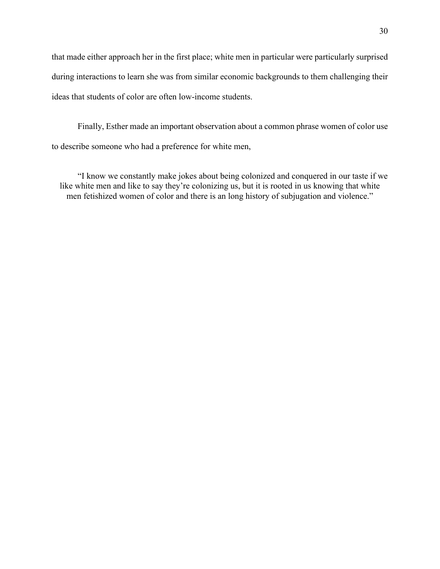that made either approach her in the first place; white men in particular were particularly surprised during interactions to learn she was from similar economic backgrounds to them challenging their ideas that students of color are often low-income students.

Finally, Esther made an important observation about a common phrase women of color use to describe someone who had a preference for white men,

"I know we constantly make jokes about being colonized and conquered in our taste if we like white men and like to say they're colonizing us, but it is rooted in us knowing that white men fetishized women of color and there is an long history of subjugation and violence."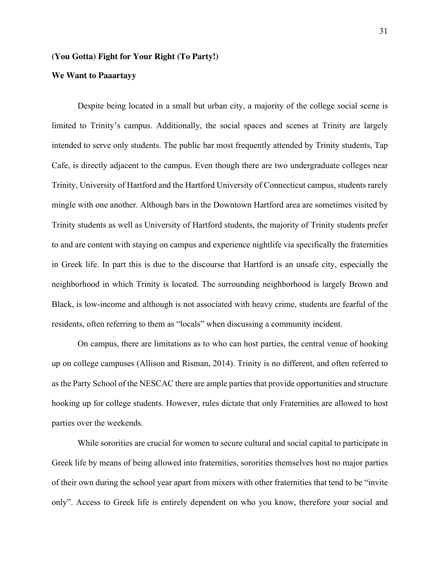## **(You Gotta) Fight for Your Right (To Party!)**

#### **We Want to Paaartayy**

Despite being located in a small but urban city, a majority of the college social scene is limited to Trinity's campus. Additionally, the social spaces and scenes at Trinity are largely intended to serve only students. The public bar most frequently attended by Trinity students, Tap Cafe, is directly adjacent to the campus. Even though there are two undergraduate colleges near Trinity, University of Hartford and the Hartford University of Connecticut campus, students rarely mingle with one another. Although bars in the Downtown Hartford area are sometimes visited by Trinity students as well as University of Hartford students, the majority of Trinity students prefer to and are content with staying on campus and experience nightlife via specifically the fraternities in Greek life. In part this is due to the discourse that Hartford is an unsafe city, especially the neighborhood in which Trinity is located. The surrounding neighborhood is largely Brown and Black, is low-income and although is not associated with heavy crime, students are fearful of the residents, often referring to them as "locals" when discussing a community incident.

On campus, there are limitations as to who can host parties, the central venue of hooking up on college campuses (Allison and Risman, 2014). Trinity is no different, and often referred to as the Party School of the NESCAC there are ample parties that provide opportunities and structure hooking up for college students. However, rules dictate that only Fraternities are allowed to host parties over the weekends.

While sororities are crucial for women to secure cultural and social capital to participate in Greek life by means of being allowed into fraternities, sororities themselves host no major parties of their own during the school year apart from mixers with other fraternities that tend to be "invite only". Access to Greek life is entirely dependent on who you know, therefore your social and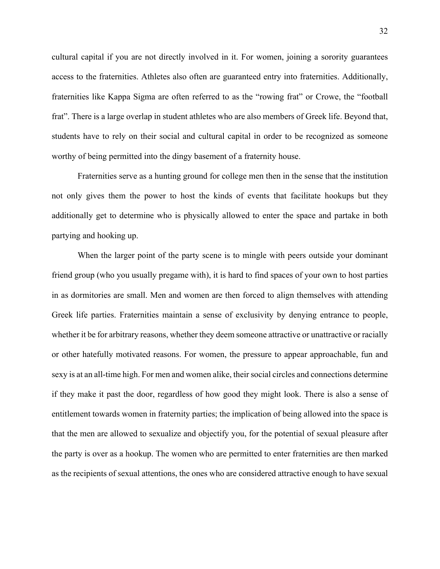cultural capital if you are not directly involved in it. For women, joining a sorority guarantees access to the fraternities. Athletes also often are guaranteed entry into fraternities. Additionally, fraternities like Kappa Sigma are often referred to as the "rowing frat" or Crowe, the "football frat". There is a large overlap in student athletes who are also members of Greek life. Beyond that, students have to rely on their social and cultural capital in order to be recognized as someone worthy of being permitted into the dingy basement of a fraternity house.

Fraternities serve as a hunting ground for college men then in the sense that the institution not only gives them the power to host the kinds of events that facilitate hookups but they additionally get to determine who is physically allowed to enter the space and partake in both partying and hooking up.

When the larger point of the party scene is to mingle with peers outside your dominant friend group (who you usually pregame with), it is hard to find spaces of your own to host parties in as dormitories are small. Men and women are then forced to align themselves with attending Greek life parties. Fraternities maintain a sense of exclusivity by denying entrance to people, whether it be for arbitrary reasons, whether they deem someone attractive or unattractive or racially or other hatefully motivated reasons. For women, the pressure to appear approachable, fun and sexy is at an all-time high. For men and women alike, their social circles and connections determine if they make it past the door, regardless of how good they might look. There is also a sense of entitlement towards women in fraternity parties; the implication of being allowed into the space is that the men are allowed to sexualize and objectify you, for the potential of sexual pleasure after the party is over as a hookup. The women who are permitted to enter fraternities are then marked as the recipients of sexual attentions, the ones who are considered attractive enough to have sexual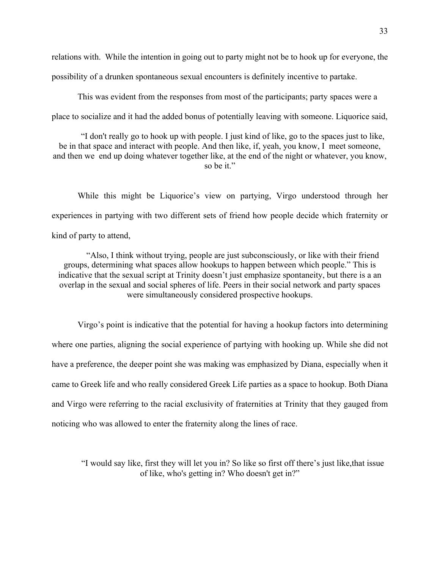relations with. While the intention in going out to party might not be to hook up for everyone, the possibility of a drunken spontaneous sexual encounters is definitely incentive to partake.

This was evident from the responses from most of the participants; party spaces were a place to socialize and it had the added bonus of potentially leaving with someone. Liquorice said,

"I don't really go to hook up with people. I just kind of like, go to the spaces just to like, be in that space and interact with people. And then like, if, yeah, you know, I meet someone, and then we end up doing whatever together like, at the end of the night or whatever, you know, so be it."

While this might be Liquorice's view on partying, Virgo understood through her experiences in partying with two different sets of friend how people decide which fraternity or kind of party to attend,

"Also, I think without trying, people are just subconsciously, or like with their friend groups, determining what spaces allow hookups to happen between which people." This is indicative that the sexual script at Trinity doesn't just emphasize spontaneity, but there is a an overlap in the sexual and social spheres of life. Peers in their social network and party spaces were simultaneously considered prospective hookups.

Virgo's point is indicative that the potential for having a hookup factors into determining where one parties, aligning the social experience of partying with hooking up. While she did not have a preference, the deeper point she was making was emphasized by Diana, especially when it came to Greek life and who really considered Greek Life parties as a space to hookup. Both Diana and Virgo were referring to the racial exclusivity of fraternities at Trinity that they gauged from noticing who was allowed to enter the fraternity along the lines of race.

"I would say like, first they will let you in? So like so first off there's just like,that issue of like, who's getting in? Who doesn't get in?"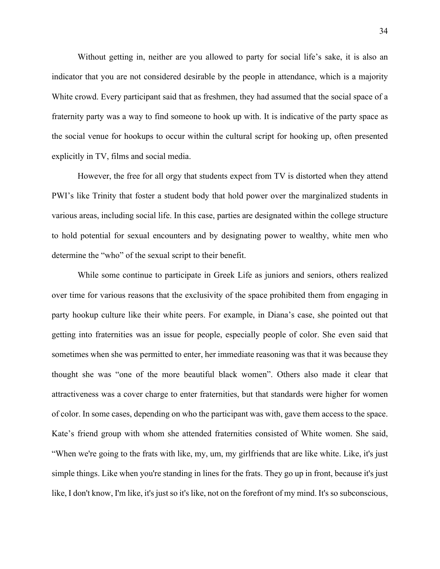Without getting in, neither are you allowed to party for social life's sake, it is also an indicator that you are not considered desirable by the people in attendance, which is a majority White crowd. Every participant said that as freshmen, they had assumed that the social space of a fraternity party was a way to find someone to hook up with. It is indicative of the party space as the social venue for hookups to occur within the cultural script for hooking up, often presented explicitly in TV, films and social media.

However, the free for all orgy that students expect from TV is distorted when they attend PWI's like Trinity that foster a student body that hold power over the marginalized students in various areas, including social life. In this case, parties are designated within the college structure to hold potential for sexual encounters and by designating power to wealthy, white men who determine the "who" of the sexual script to their benefit.

While some continue to participate in Greek Life as juniors and seniors, others realized over time for various reasons that the exclusivity of the space prohibited them from engaging in party hookup culture like their white peers. For example, in Diana's case, she pointed out that getting into fraternities was an issue for people, especially people of color. She even said that sometimes when she was permitted to enter, her immediate reasoning was that it was because they thought she was "one of the more beautiful black women". Others also made it clear that attractiveness was a cover charge to enter fraternities, but that standards were higher for women of color. In some cases, depending on who the participant was with, gave them access to the space. Kate's friend group with whom she attended fraternities consisted of White women. She said, "When we're going to the frats with like, my, um, my girlfriends that are like white. Like, it's just simple things. Like when you're standing in lines for the frats. They go up in front, because it's just like, I don't know, I'm like, it's just so it's like, not on the forefront of my mind. It's so subconscious,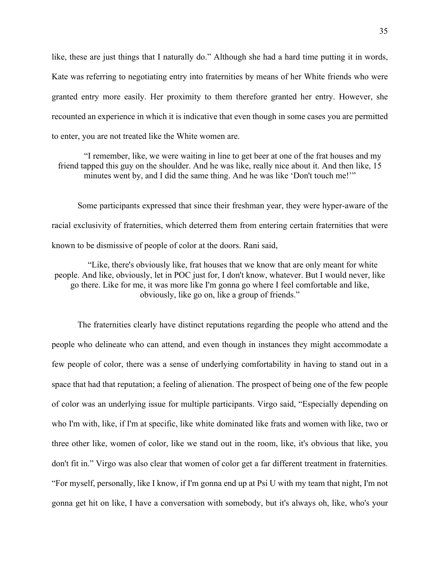like, these are just things that I naturally do." Although she had a hard time putting it in words, Kate was referring to negotiating entry into fraternities by means of her White friends who were granted entry more easily. Her proximity to them therefore granted her entry. However, she recounted an experience in which it is indicative that even though in some cases you are permitted to enter, you are not treated like the White women are.

"I remember, like, we were waiting in line to get beer at one of the frat houses and my friend tapped this guy on the shoulder. And he was like, really nice about it. And then like, 15 minutes went by, and I did the same thing. And he was like 'Don't touch me!'"

Some participants expressed that since their freshman year, they were hyper-aware of the racial exclusivity of fraternities, which deterred them from entering certain fraternities that were known to be dismissive of people of color at the doors. Rani said,

"Like, there's obviously like, frat houses that we know that are only meant for white people. And like, obviously, let in POC just for, I don't know, whatever. But I would never, like go there. Like for me, it was more like I'm gonna go where I feel comfortable and like, obviously, like go on, like a group of friends."

The fraternities clearly have distinct reputations regarding the people who attend and the people who delineate who can attend, and even though in instances they might accommodate a few people of color, there was a sense of underlying comfortability in having to stand out in a space that had that reputation; a feeling of alienation. The prospect of being one of the few people of color was an underlying issue for multiple participants. Virgo said, "Especially depending on who I'm with, like, if I'm at specific, like white dominated like frats and women with like, two or three other like, women of color, like we stand out in the room, like, it's obvious that like, you don't fit in." Virgo was also clear that women of color get a far different treatment in fraternities. "For myself, personally, like I know, if I'm gonna end up at Psi U with my team that night, I'm not gonna get hit on like, I have a conversation with somebody, but it's always oh, like, who's your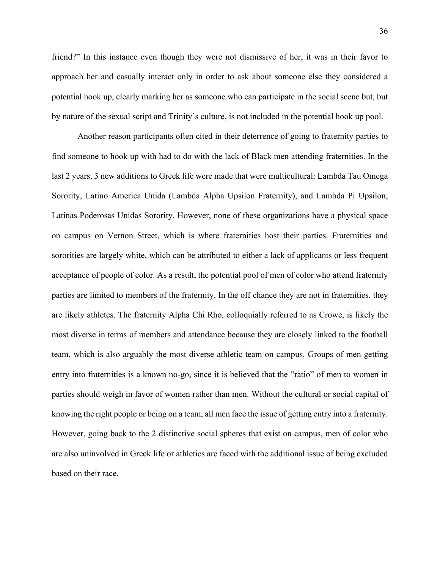friend?" In this instance even though they were not dismissive of her, it was in their favor to approach her and casually interact only in order to ask about someone else they considered a potential hook up, clearly marking her as someone who can participate in the social scene but, but by nature of the sexual script and Trinity's culture, is not included in the potential hook up pool.

Another reason participants often cited in their deterrence of going to fraternity parties to find someone to hook up with had to do with the lack of Black men attending fraternities. In the last 2 years, 3 new additions to Greek life were made that were multicultural: Lambda Tau Omega Sorority, Latino America Unida (Lambda Alpha Upsilon Fraternity), and Lambda Pi Upsilon, Latinas Poderosas Unidas Sorority. However, none of these organizations have a physical space on campus on Vernon Street, which is where fraternities host their parties. Fraternities and sororities are largely white, which can be attributed to either a lack of applicants or less frequent acceptance of people of color. As a result, the potential pool of men of color who attend fraternity parties are limited to members of the fraternity. In the off chance they are not in fraternities, they are likely athletes. The fraternity Alpha Chi Rho, colloquially referred to as Crowe, is likely the most diverse in terms of members and attendance because they are closely linked to the football team, which is also arguably the most diverse athletic team on campus. Groups of men getting entry into fraternities is a known no-go, since it is believed that the "ratio" of men to women in parties should weigh in favor of women rather than men. Without the cultural or social capital of knowing the right people or being on a team, all men face the issue of getting entry into a fraternity. However, going back to the 2 distinctive social spheres that exist on campus, men of color who are also uninvolved in Greek life or athletics are faced with the additional issue of being excluded based on their race.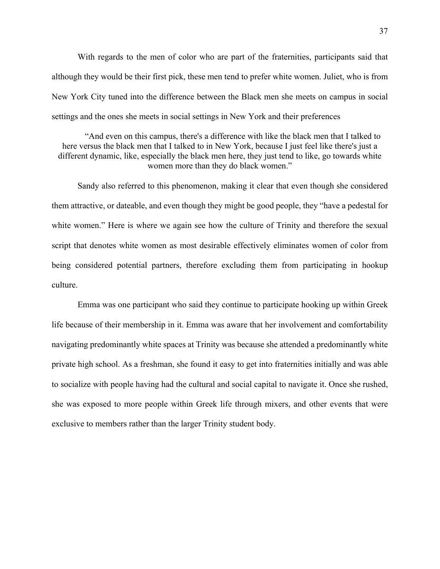With regards to the men of color who are part of the fraternities, participants said that although they would be their first pick, these men tend to prefer white women. Juliet, who is from New York City tuned into the difference between the Black men she meets on campus in social settings and the ones she meets in social settings in New York and their preferences

"And even on this campus, there's a difference with like the black men that I talked to here versus the black men that I talked to in New York, because I just feel like there's just a different dynamic, like, especially the black men here, they just tend to like, go towards white women more than they do black women."

Sandy also referred to this phenomenon, making it clear that even though she considered them attractive, or dateable, and even though they might be good people, they "have a pedestal for white women." Here is where we again see how the culture of Trinity and therefore the sexual script that denotes white women as most desirable effectively eliminates women of color from being considered potential partners, therefore excluding them from participating in hookup culture.

Emma was one participant who said they continue to participate hooking up within Greek life because of their membership in it. Emma was aware that her involvement and comfortability navigating predominantly white spaces at Trinity was because she attended a predominantly white private high school. As a freshman, she found it easy to get into fraternities initially and was able to socialize with people having had the cultural and social capital to navigate it. Once she rushed, she was exposed to more people within Greek life through mixers, and other events that were exclusive to members rather than the larger Trinity student body.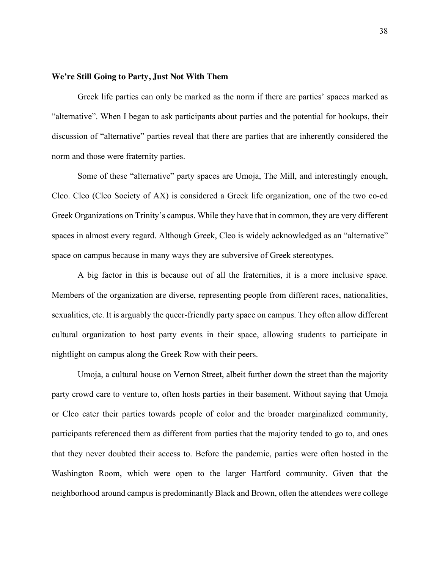#### **We're Still Going to Party, Just Not With Them**

Greek life parties can only be marked as the norm if there are parties' spaces marked as "alternative". When I began to ask participants about parties and the potential for hookups, their discussion of "alternative" parties reveal that there are parties that are inherently considered the norm and those were fraternity parties.

Some of these "alternative" party spaces are Umoja, The Mill, and interestingly enough, Cleo. Cleo (Cleo Society of AX) is considered a Greek life organization, one of the two co-ed Greek Organizations on Trinity's campus. While they have that in common, they are very different spaces in almost every regard. Although Greek, Cleo is widely acknowledged as an "alternative" space on campus because in many ways they are subversive of Greek stereotypes.

A big factor in this is because out of all the fraternities, it is a more inclusive space. Members of the organization are diverse, representing people from different races, nationalities, sexualities, etc. It is arguably the queer-friendly party space on campus. They often allow different cultural organization to host party events in their space, allowing students to participate in nightlight on campus along the Greek Row with their peers.

Umoja, a cultural house on Vernon Street, albeit further down the street than the majority party crowd care to venture to, often hosts parties in their basement. Without saying that Umoja or Cleo cater their parties towards people of color and the broader marginalized community, participants referenced them as different from parties that the majority tended to go to, and ones that they never doubted their access to. Before the pandemic, parties were often hosted in the Washington Room, which were open to the larger Hartford community. Given that the neighborhood around campus is predominantly Black and Brown, often the attendees were college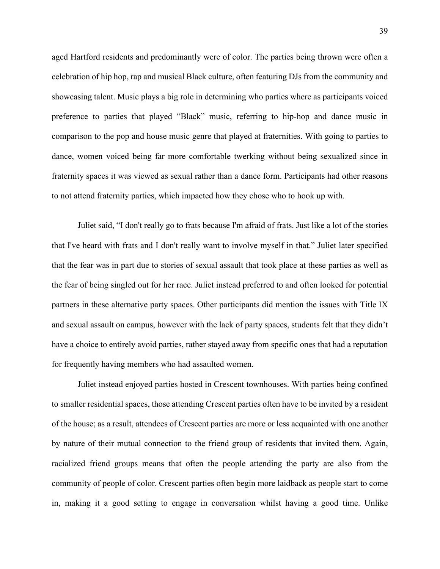aged Hartford residents and predominantly were of color. The parties being thrown were often a celebration of hip hop, rap and musical Black culture, often featuring DJs from the community and showcasing talent. Music plays a big role in determining who parties where as participants voiced preference to parties that played "Black" music, referring to hip-hop and dance music in comparison to the pop and house music genre that played at fraternities. With going to parties to dance, women voiced being far more comfortable twerking without being sexualized since in fraternity spaces it was viewed as sexual rather than a dance form. Participants had other reasons to not attend fraternity parties, which impacted how they chose who to hook up with.

Juliet said, "I don't really go to frats because I'm afraid of frats. Just like a lot of the stories that I've heard with frats and I don't really want to involve myself in that." Juliet later specified that the fear was in part due to stories of sexual assault that took place at these parties as well as the fear of being singled out for her race. Juliet instead preferred to and often looked for potential partners in these alternative party spaces. Other participants did mention the issues with Title IX and sexual assault on campus, however with the lack of party spaces, students felt that they didn't have a choice to entirely avoid parties, rather stayed away from specific ones that had a reputation for frequently having members who had assaulted women.

Juliet instead enjoyed parties hosted in Crescent townhouses. With parties being confined to smaller residential spaces, those attending Crescent parties often have to be invited by a resident of the house; as a result, attendees of Crescent parties are more or less acquainted with one another by nature of their mutual connection to the friend group of residents that invited them. Again, racialized friend groups means that often the people attending the party are also from the community of people of color. Crescent parties often begin more laidback as people start to come in, making it a good setting to engage in conversation whilst having a good time. Unlike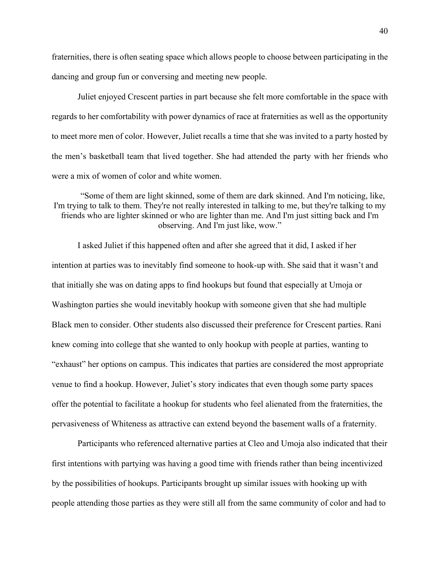fraternities, there is often seating space which allows people to choose between participating in the dancing and group fun or conversing and meeting new people.

Juliet enjoyed Crescent parties in part because she felt more comfortable in the space with regards to her comfortability with power dynamics of race at fraternities as well as the opportunity to meet more men of color. However, Juliet recalls a time that she was invited to a party hosted by the men's basketball team that lived together. She had attended the party with her friends who were a mix of women of color and white women.

"Some of them are light skinned, some of them are dark skinned. And I'm noticing, like, I'm trying to talk to them. They're not really interested in talking to me, but they're talking to my friends who are lighter skinned or who are lighter than me. And I'm just sitting back and I'm observing. And I'm just like, wow."

I asked Juliet if this happened often and after she agreed that it did, I asked if her intention at parties was to inevitably find someone to hook-up with. She said that it wasn't and that initially she was on dating apps to find hookups but found that especially at Umoja or Washington parties she would inevitably hookup with someone given that she had multiple Black men to consider. Other students also discussed their preference for Crescent parties. Rani knew coming into college that she wanted to only hookup with people at parties, wanting to "exhaust" her options on campus. This indicates that parties are considered the most appropriate venue to find a hookup. However, Juliet's story indicates that even though some party spaces offer the potential to facilitate a hookup for students who feel alienated from the fraternities, the pervasiveness of Whiteness as attractive can extend beyond the basement walls of a fraternity.

Participants who referenced alternative parties at Cleo and Umoja also indicated that their first intentions with partying was having a good time with friends rather than being incentivized by the possibilities of hookups. Participants brought up similar issues with hooking up with people attending those parties as they were still all from the same community of color and had to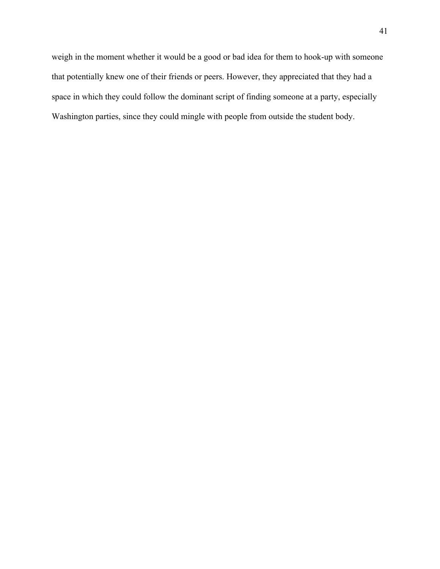weigh in the moment whether it would be a good or bad idea for them to hook-up with someone that potentially knew one of their friends or peers. However, they appreciated that they had a space in which they could follow the dominant script of finding someone at a party, especially Washington parties, since they could mingle with people from outside the student body.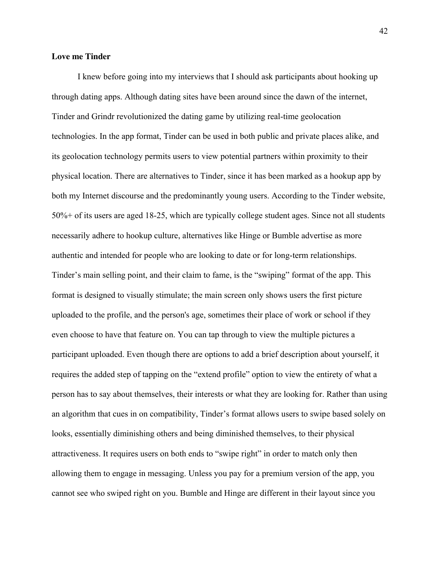#### **Love me Tinder**

I knew before going into my interviews that I should ask participants about hooking up through dating apps. Although dating sites have been around since the dawn of the internet, Tinder and Grindr revolutionized the dating game by utilizing real-time geolocation technologies. In the app format, Tinder can be used in both public and private places alike, and its geolocation technology permits users to view potential partners within proximity to their physical location. There are alternatives to Tinder, since it has been marked as a hookup app by both my Internet discourse and the predominantly young users. According to the Tinder website, 50%+ of its users are aged 18-25, which are typically college student ages. Since not all students necessarily adhere to hookup culture, alternatives like Hinge or Bumble advertise as more authentic and intended for people who are looking to date or for long-term relationships. Tinder's main selling point, and their claim to fame, is the "swiping" format of the app. This format is designed to visually stimulate; the main screen only shows users the first picture uploaded to the profile, and the person's age, sometimes their place of work or school if they even choose to have that feature on. You can tap through to view the multiple pictures a participant uploaded. Even though there are options to add a brief description about yourself, it requires the added step of tapping on the "extend profile" option to view the entirety of what a person has to say about themselves, their interests or what they are looking for. Rather than using an algorithm that cues in on compatibility, Tinder's format allows users to swipe based solely on looks, essentially diminishing others and being diminished themselves, to their physical attractiveness. It requires users on both ends to "swipe right" in order to match only then allowing them to engage in messaging. Unless you pay for a premium version of the app, you cannot see who swiped right on you. Bumble and Hinge are different in their layout since you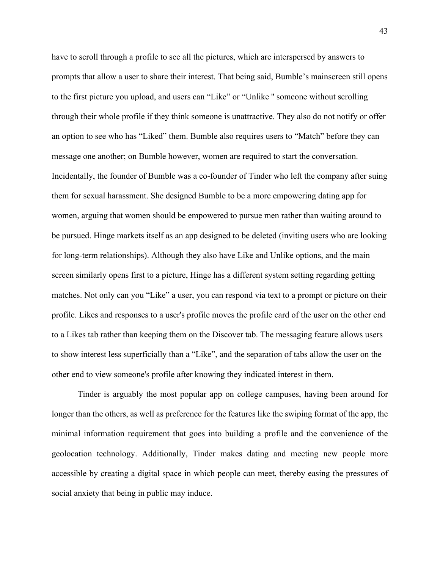have to scroll through a profile to see all the pictures, which are interspersed by answers to prompts that allow a user to share their interest. That being said, Bumble's mainscreen still opens to the first picture you upload, and users can "Like" or "Unlike '' someone without scrolling through their whole profile if they think someone is unattractive. They also do not notify or offer an option to see who has "Liked" them. Bumble also requires users to "Match" before they can message one another; on Bumble however, women are required to start the conversation. Incidentally, the founder of Bumble was a co-founder of Tinder who left the company after suing them for sexual harassment. She designed Bumble to be a more empowering dating app for women, arguing that women should be empowered to pursue men rather than waiting around to be pursued. Hinge markets itself as an app designed to be deleted (inviting users who are looking for long-term relationships). Although they also have Like and Unlike options, and the main screen similarly opens first to a picture, Hinge has a different system setting regarding getting matches. Not only can you "Like" a user, you can respond via text to a prompt or picture on their profile. Likes and responses to a user's profile moves the profile card of the user on the other end to a Likes tab rather than keeping them on the Discover tab. The messaging feature allows users to show interest less superficially than a "Like", and the separation of tabs allow the user on the other end to view someone's profile after knowing they indicated interest in them.

Tinder is arguably the most popular app on college campuses, having been around for longer than the others, as well as preference for the features like the swiping format of the app, the minimal information requirement that goes into building a profile and the convenience of the geolocation technology. Additionally, Tinder makes dating and meeting new people more accessible by creating a digital space in which people can meet, thereby easing the pressures of social anxiety that being in public may induce.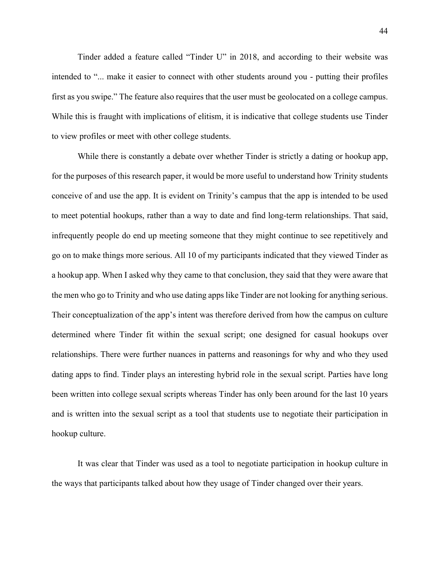Tinder added a feature called "Tinder U" in 2018, and according to their website was intended to "... make it easier to connect with other students around you - putting their profiles first as you swipe." The feature also requires that the user must be geolocated on a college campus. While this is fraught with implications of elitism, it is indicative that college students use Tinder to view profiles or meet with other college students.

While there is constantly a debate over whether Tinder is strictly a dating or hookup app, for the purposes of this research paper, it would be more useful to understand how Trinity students conceive of and use the app. It is evident on Trinity's campus that the app is intended to be used to meet potential hookups, rather than a way to date and find long-term relationships. That said, infrequently people do end up meeting someone that they might continue to see repetitively and go on to make things more serious. All 10 of my participants indicated that they viewed Tinder as a hookup app. When I asked why they came to that conclusion, they said that they were aware that the men who go to Trinity and who use dating apps like Tinder are not looking for anything serious. Their conceptualization of the app's intent was therefore derived from how the campus on culture determined where Tinder fit within the sexual script; one designed for casual hookups over relationships. There were further nuances in patterns and reasonings for why and who they used dating apps to find. Tinder plays an interesting hybrid role in the sexual script. Parties have long been written into college sexual scripts whereas Tinder has only been around for the last 10 years and is written into the sexual script as a tool that students use to negotiate their participation in hookup culture.

It was clear that Tinder was used as a tool to negotiate participation in hookup culture in the ways that participants talked about how they usage of Tinder changed over their years.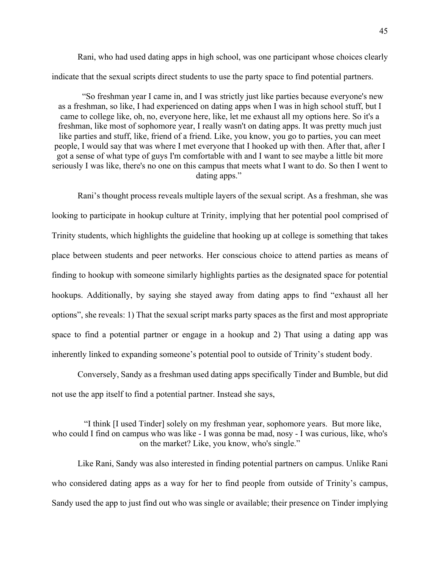Rani, who had used dating apps in high school, was one participant whose choices clearly indicate that the sexual scripts direct students to use the party space to find potential partners.

"So freshman year I came in, and I was strictly just like parties because everyone's new as a freshman, so like, I had experienced on dating apps when I was in high school stuff, but I came to college like, oh, no, everyone here, like, let me exhaust all my options here. So it's a freshman, like most of sophomore year, I really wasn't on dating apps. It was pretty much just like parties and stuff, like, friend of a friend. Like, you know, you go to parties, you can meet people, I would say that was where I met everyone that I hooked up with then. After that, after I got a sense of what type of guys I'm comfortable with and I want to see maybe a little bit more seriously I was like, there's no one on this campus that meets what I want to do. So then I went to dating apps."

Rani's thought process reveals multiple layers of the sexual script. As a freshman, she was looking to participate in hookup culture at Trinity, implying that her potential pool comprised of Trinity students, which highlights the guideline that hooking up at college is something that takes place between students and peer networks. Her conscious choice to attend parties as means of finding to hookup with someone similarly highlights parties as the designated space for potential hookups. Additionally, by saying she stayed away from dating apps to find "exhaust all her options", she reveals: 1) That the sexual script marks party spaces as the first and most appropriate space to find a potential partner or engage in a hookup and 2) That using a dating app was inherently linked to expanding someone's potential pool to outside of Trinity's student body.

Conversely, Sandy as a freshman used dating apps specifically Tinder and Bumble, but did not use the app itself to find a potential partner. Instead she says,

"I think [I used Tinder] solely on my freshman year, sophomore years. But more like, who could I find on campus who was like - I was gonna be mad, nosy - I was curious, like, who's on the market? Like, you know, who's single."

Like Rani, Sandy was also interested in finding potential partners on campus. Unlike Rani who considered dating apps as a way for her to find people from outside of Trinity's campus, Sandy used the app to just find out who was single or available; their presence on Tinder implying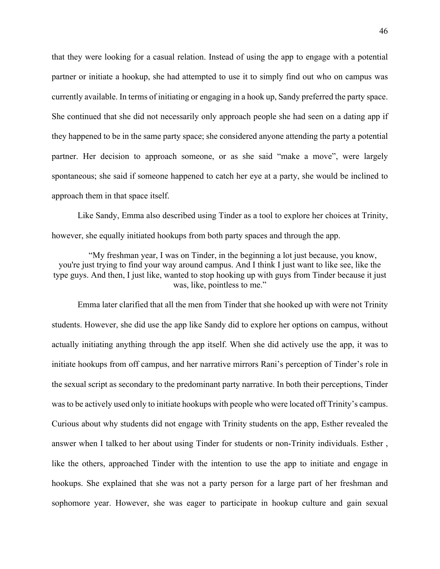that they were looking for a casual relation. Instead of using the app to engage with a potential partner or initiate a hookup, she had attempted to use it to simply find out who on campus was currently available. In terms of initiating or engaging in a hook up, Sandy preferred the party space. She continued that she did not necessarily only approach people she had seen on a dating app if they happened to be in the same party space; she considered anyone attending the party a potential partner. Her decision to approach someone, or as she said "make a move", were largely spontaneous; she said if someone happened to catch her eye at a party, she would be inclined to approach them in that space itself.

Like Sandy, Emma also described using Tinder as a tool to explore her choices at Trinity, however, she equally initiated hookups from both party spaces and through the app.

"My freshman year, I was on Tinder, in the beginning a lot just because, you know, you're just trying to find your way around campus. And I think I just want to like see, like the type guys. And then, I just like, wanted to stop hooking up with guys from Tinder because it just was, like, pointless to me."

Emma later clarified that all the men from Tinder that she hooked up with were not Trinity students. However, she did use the app like Sandy did to explore her options on campus, without actually initiating anything through the app itself. When she did actively use the app, it was to initiate hookups from off campus, and her narrative mirrors Rani's perception of Tinder's role in the sexual script as secondary to the predominant party narrative. In both their perceptions, Tinder was to be actively used only to initiate hookups with people who were located off Trinity's campus. Curious about why students did not engage with Trinity students on the app, Esther revealed the answer when I talked to her about using Tinder for students or non-Trinity individuals. Esther , like the others, approached Tinder with the intention to use the app to initiate and engage in hookups. She explained that she was not a party person for a large part of her freshman and sophomore year. However, she was eager to participate in hookup culture and gain sexual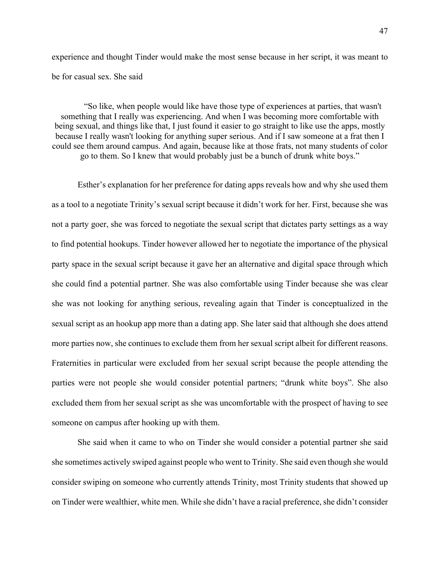experience and thought Tinder would make the most sense because in her script, it was meant to be for casual sex. She said

"So like, when people would like have those type of experiences at parties, that wasn't something that I really was experiencing. And when I was becoming more comfortable with being sexual, and things like that, I just found it easier to go straight to like use the apps, mostly because I really wasn't looking for anything super serious. And if I saw someone at a frat then I could see them around campus. And again, because like at those frats, not many students of color go to them. So I knew that would probably just be a bunch of drunk white boys."

Esther's explanation for her preference for dating apps reveals how and why she used them as a tool to a negotiate Trinity's sexual script because it didn't work for her. First, because she was not a party goer, she was forced to negotiate the sexual script that dictates party settings as a way to find potential hookups. Tinder however allowed her to negotiate the importance of the physical party space in the sexual script because it gave her an alternative and digital space through which she could find a potential partner. She was also comfortable using Tinder because she was clear she was not looking for anything serious, revealing again that Tinder is conceptualized in the sexual script as an hookup app more than a dating app. She later said that although she does attend more parties now, she continues to exclude them from her sexual script albeit for different reasons. Fraternities in particular were excluded from her sexual script because the people attending the parties were not people she would consider potential partners; "drunk white boys". She also excluded them from her sexual script as she was uncomfortable with the prospect of having to see someone on campus after hooking up with them.

She said when it came to who on Tinder she would consider a potential partner she said she sometimes actively swiped against people who went to Trinity. She said even though she would consider swiping on someone who currently attends Trinity, most Trinity students that showed up on Tinder were wealthier, white men. While she didn't have a racial preference, she didn't consider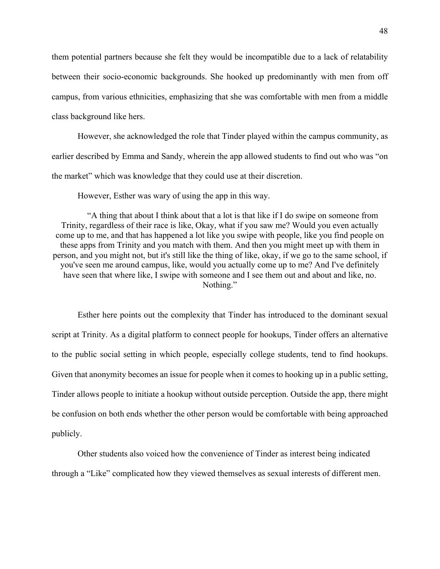them potential partners because she felt they would be incompatible due to a lack of relatability between their socio-economic backgrounds. She hooked up predominantly with men from off campus, from various ethnicities, emphasizing that she was comfortable with men from a middle class background like hers.

However, she acknowledged the role that Tinder played within the campus community, as earlier described by Emma and Sandy, wherein the app allowed students to find out who was "on the market" which was knowledge that they could use at their discretion.

However, Esther was wary of using the app in this way.

"A thing that about I think about that a lot is that like if I do swipe on someone from Trinity, regardless of their race is like, Okay, what if you saw me? Would you even actually come up to me, and that has happened a lot like you swipe with people, like you find people on these apps from Trinity and you match with them. And then you might meet up with them in person, and you might not, but it's still like the thing of like, okay, if we go to the same school, if you've seen me around campus, like, would you actually come up to me? And I've definitely have seen that where like, I swipe with someone and I see them out and about and like, no. Nothing."

Esther here points out the complexity that Tinder has introduced to the dominant sexual script at Trinity. As a digital platform to connect people for hookups, Tinder offers an alternative to the public social setting in which people, especially college students, tend to find hookups. Given that anonymity becomes an issue for people when it comes to hooking up in a public setting, Tinder allows people to initiate a hookup without outside perception. Outside the app, there might be confusion on both ends whether the other person would be comfortable with being approached publicly.

Other students also voiced how the convenience of Tinder as interest being indicated through a "Like" complicated how they viewed themselves as sexual interests of different men.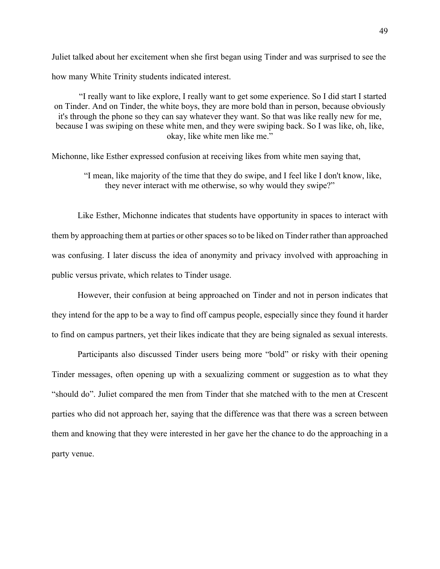Juliet talked about her excitement when she first began using Tinder and was surprised to see the how many White Trinity students indicated interest.

"I really want to like explore, I really want to get some experience. So I did start I started on Tinder. And on Tinder, the white boys, they are more bold than in person, because obviously it's through the phone so they can say whatever they want. So that was like really new for me, because I was swiping on these white men, and they were swiping back. So I was like, oh, like, okay, like white men like me."

Michonne, like Esther expressed confusion at receiving likes from white men saying that,

"I mean, like majority of the time that they do swipe, and I feel like I don't know, like, they never interact with me otherwise, so why would they swipe?"

Like Esther, Michonne indicates that students have opportunity in spaces to interact with them by approaching them at parties or other spaces so to be liked on Tinder rather than approached was confusing. I later discuss the idea of anonymity and privacy involved with approaching in public versus private, which relates to Tinder usage.

However, their confusion at being approached on Tinder and not in person indicates that they intend for the app to be a way to find off campus people, especially since they found it harder to find on campus partners, yet their likes indicate that they are being signaled as sexual interests.

Participants also discussed Tinder users being more "bold" or risky with their opening Tinder messages, often opening up with a sexualizing comment or suggestion as to what they "should do". Juliet compared the men from Tinder that she matched with to the men at Crescent parties who did not approach her, saying that the difference was that there was a screen between them and knowing that they were interested in her gave her the chance to do the approaching in a party venue.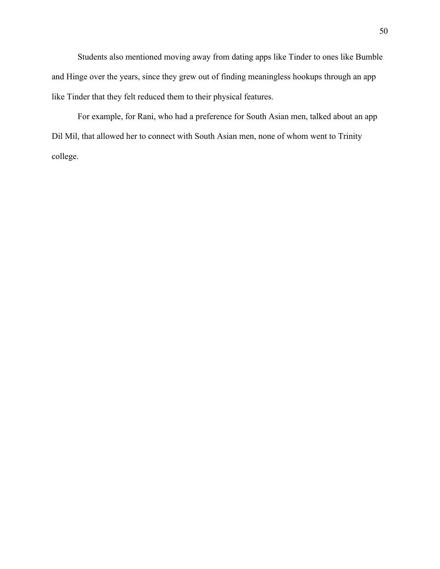Students also mentioned moving away from dating apps like Tinder to ones like Bumble and Hinge over the years, since they grew out of finding meaningless hookups through an app like Tinder that they felt reduced them to their physical features.

For example, for Rani, who had a preference for South Asian men, talked about an app Dil Mil, that allowed her to connect with South Asian men, none of whom went to Trinity college.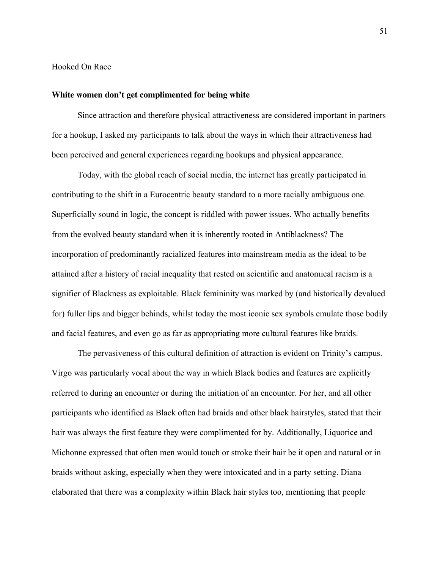Hooked On Race

#### **White women don't get complimented for being white**

Since attraction and therefore physical attractiveness are considered important in partners for a hookup, I asked my participants to talk about the ways in which their attractiveness had been perceived and general experiences regarding hookups and physical appearance.

Today, with the global reach of social media, the internet has greatly participated in contributing to the shift in a Eurocentric beauty standard to a more racially ambiguous one. Superficially sound in logic, the concept is riddled with power issues. Who actually benefits from the evolved beauty standard when it is inherently rooted in Antiblackness? The incorporation of predominantly racialized features into mainstream media as the ideal to be attained after a history of racial inequality that rested on scientific and anatomical racism is a signifier of Blackness as exploitable. Black femininity was marked by (and historically devalued for) fuller lips and bigger behinds, whilst today the most iconic sex symbols emulate those bodily and facial features, and even go as far as appropriating more cultural features like braids.

The pervasiveness of this cultural definition of attraction is evident on Trinity's campus. Virgo was particularly vocal about the way in which Black bodies and features are explicitly referred to during an encounter or during the initiation of an encounter. For her, and all other participants who identified as Black often had braids and other black hairstyles, stated that their hair was always the first feature they were complimented for by. Additionally, Liquorice and Michonne expressed that often men would touch or stroke their hair be it open and natural or in braids without asking, especially when they were intoxicated and in a party setting. Diana elaborated that there was a complexity within Black hair styles too, mentioning that people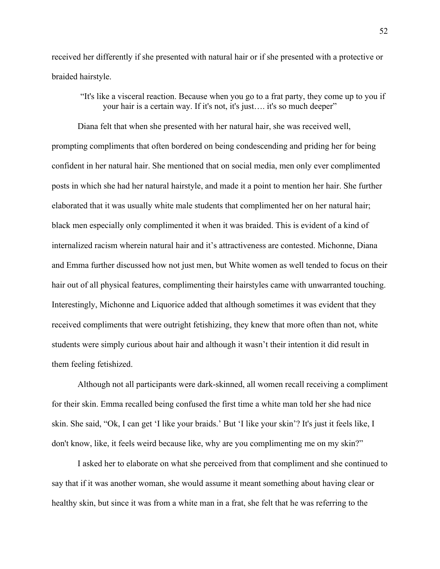received her differently if she presented with natural hair or if she presented with a protective or braided hairstyle.

"It's like a visceral reaction. Because when you go to a frat party, they come up to you if your hair is a certain way. If it's not, it's just…. it's so much deeper"

Diana felt that when she presented with her natural hair, she was received well, prompting compliments that often bordered on being condescending and priding her for being confident in her natural hair. She mentioned that on social media, men only ever complimented posts in which she had her natural hairstyle, and made it a point to mention her hair. She further elaborated that it was usually white male students that complimented her on her natural hair; black men especially only complimented it when it was braided. This is evident of a kind of internalized racism wherein natural hair and it's attractiveness are contested. Michonne, Diana and Emma further discussed how not just men, but White women as well tended to focus on their hair out of all physical features, complimenting their hairstyles came with unwarranted touching. Interestingly, Michonne and Liquorice added that although sometimes it was evident that they received compliments that were outright fetishizing, they knew that more often than not, white students were simply curious about hair and although it wasn't their intention it did result in them feeling fetishized.

Although not all participants were dark-skinned, all women recall receiving a compliment for their skin. Emma recalled being confused the first time a white man told her she had nice skin. She said, "Ok, I can get 'I like your braids.' But 'I like your skin'? It's just it feels like, I don't know, like, it feels weird because like, why are you complimenting me on my skin?"

I asked her to elaborate on what she perceived from that compliment and she continued to say that if it was another woman, she would assume it meant something about having clear or healthy skin, but since it was from a white man in a frat, she felt that he was referring to the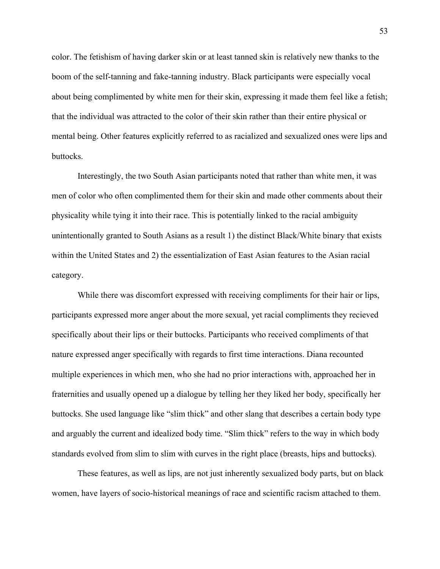color. The fetishism of having darker skin or at least tanned skin is relatively new thanks to the boom of the self-tanning and fake-tanning industry. Black participants were especially vocal about being complimented by white men for their skin, expressing it made them feel like a fetish; that the individual was attracted to the color of their skin rather than their entire physical or mental being. Other features explicitly referred to as racialized and sexualized ones were lips and buttocks.

Interestingly, the two South Asian participants noted that rather than white men, it was men of color who often complimented them for their skin and made other comments about their physicality while tying it into their race. This is potentially linked to the racial ambiguity unintentionally granted to South Asians as a result 1) the distinct Black/White binary that exists within the United States and 2) the essentialization of East Asian features to the Asian racial category.

While there was discomfort expressed with receiving compliments for their hair or lips, participants expressed more anger about the more sexual, yet racial compliments they recieved specifically about their lips or their buttocks. Participants who received compliments of that nature expressed anger specifically with regards to first time interactions. Diana recounted multiple experiences in which men, who she had no prior interactions with, approached her in fraternities and usually opened up a dialogue by telling her they liked her body, specifically her buttocks. She used language like "slim thick" and other slang that describes a certain body type and arguably the current and idealized body time. "Slim thick" refers to the way in which body standards evolved from slim to slim with curves in the right place (breasts, hips and buttocks).

These features, as well as lips, are not just inherently sexualized body parts, but on black women, have layers of socio-historical meanings of race and scientific racism attached to them.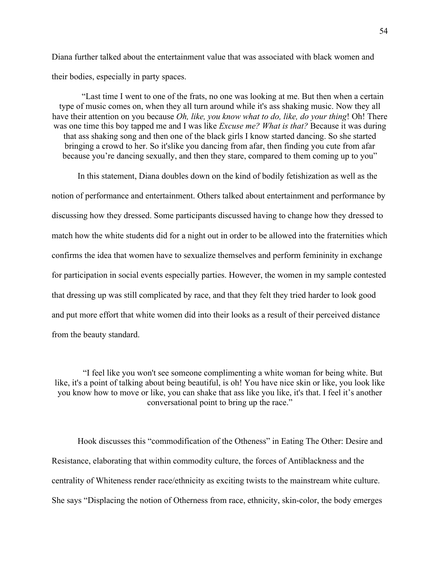Diana further talked about the entertainment value that was associated with black women and their bodies, especially in party spaces.

"Last time I went to one of the frats, no one was looking at me. But then when a certain type of music comes on, when they all turn around while it's ass shaking music. Now they all have their attention on you because *Oh, like, you know what to do, like, do your thing*! Oh! There was one time this boy tapped me and I was like *Excuse me? What is that?* Because it was during that ass shaking song and then one of the black girls I know started dancing. So she started bringing a crowd to her. So it'slike you dancing from afar, then finding you cute from afar because you're dancing sexually, and then they stare, compared to them coming up to you"

In this statement, Diana doubles down on the kind of bodily fetishization as well as the notion of performance and entertainment. Others talked about entertainment and performance by discussing how they dressed. Some participants discussed having to change how they dressed to match how the white students did for a night out in order to be allowed into the fraternities which confirms the idea that women have to sexualize themselves and perform femininity in exchange for participation in social events especially parties. However, the women in my sample contested that dressing up was still complicated by race, and that they felt they tried harder to look good and put more effort that white women did into their looks as a result of their perceived distance from the beauty standard.

"I feel like you won't see someone complimenting a white woman for being white. But like, it's a point of talking about being beautiful, is oh! You have nice skin or like, you look like you know how to move or like, you can shake that ass like you like, it's that. I feel it's another conversational point to bring up the race."

Hook discusses this "commodification of the Otheness" in Eating The Other: Desire and Resistance, elaborating that within commodity culture, the forces of Antiblackness and the centrality of Whiteness render race/ethnicity as exciting twists to the mainstream white culture. She says "Displacing the notion of Otherness from race, ethnicity, skin-color, the body emerges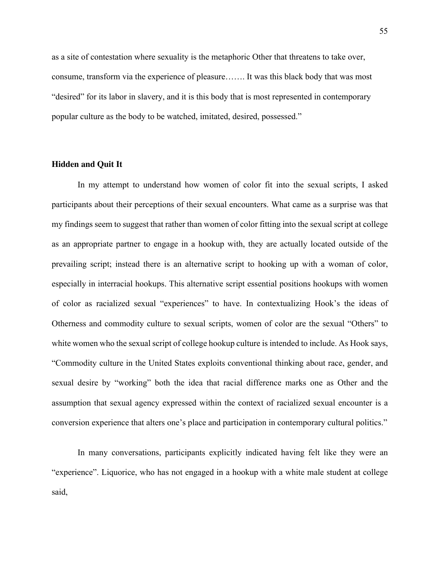as a site of contestation where sexuality is the metaphoric Other that threatens to take over, consume, transform via the experience of pleasure……. It was this black body that was most "desired" for its labor in slavery, and it is this body that is most represented in contemporary popular culture as the body to be watched, imitated, desired, possessed."

### **Hidden and Quit It**

In my attempt to understand how women of color fit into the sexual scripts, I asked participants about their perceptions of their sexual encounters. What came as a surprise was that my findings seem to suggest that rather than women of color fitting into the sexual script at college as an appropriate partner to engage in a hookup with, they are actually located outside of the prevailing script; instead there is an alternative script to hooking up with a woman of color, especially in interracial hookups. This alternative script essential positions hookups with women of color as racialized sexual "experiences" to have. In contextualizing Hook's the ideas of Otherness and commodity culture to sexual scripts, women of color are the sexual "Others" to white women who the sexual script of college hookup culture is intended to include. As Hook says, "Commodity culture in the United States exploits conventional thinking about race, gender, and sexual desire by "working" both the idea that racial difference marks one as Other and the assumption that sexual agency expressed within the context of racialized sexual encounter is a conversion experience that alters one's place and participation in contemporary cultural politics."

In many conversations, participants explicitly indicated having felt like they were an "experience". Liquorice, who has not engaged in a hookup with a white male student at college said,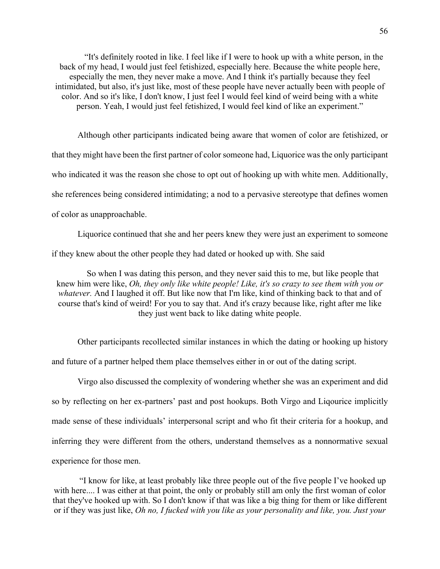"It's definitely rooted in like. I feel like if I were to hook up with a white person, in the back of my head, I would just feel fetishized, especially here. Because the white people here, especially the men, they never make a move. And I think it's partially because they feel intimidated, but also, it's just like, most of these people have never actually been with people of color. And so it's like, I don't know, I just feel I would feel kind of weird being with a white person. Yeah, I would just feel fetishized, I would feel kind of like an experiment."

Although other participants indicated being aware that women of color are fetishized, or that they might have been the first partner of color someone had, Liquorice was the only participant who indicated it was the reason she chose to opt out of hooking up with white men. Additionally, she references being considered intimidating; a nod to a pervasive stereotype that defines women of color as unapproachable.

Liquorice continued that she and her peers knew they were just an experiment to someone if they knew about the other people they had dated or hooked up with. She said

So when I was dating this person, and they never said this to me, but like people that knew him were like, *Oh, they only like white people! Like, it's so crazy to see them with you or whatever.* And I laughed it off. But like now that I'm like, kind of thinking back to that and of course that's kind of weird! For you to say that. And it's crazy because like, right after me like they just went back to like dating white people.

Other participants recollected similar instances in which the dating or hooking up history and future of a partner helped them place themselves either in or out of the dating script.

Virgo also discussed the complexity of wondering whether she was an experiment and did so by reflecting on her ex-partners' past and post hookups. Both Virgo and Liqourice implicitly made sense of these individuals' interpersonal script and who fit their criteria for a hookup, and inferring they were different from the others, understand themselves as a nonnormative sexual experience for those men.

"I know for like, at least probably like three people out of the five people I've hooked up with here.... I was either at that point, the only or probably still am only the first woman of color that they've hooked up with. So I don't know if that was like a big thing for them or like different or if they was just like, *Oh no, I fucked with you like as your personality and like, you. Just your*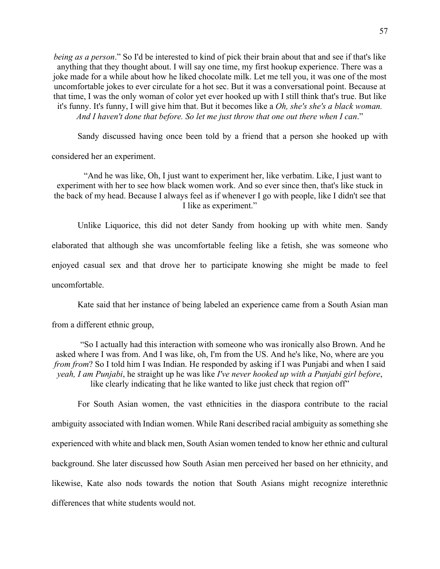*being as a person*." So I'd be interested to kind of pick their brain about that and see if that's like anything that they thought about. I will say one time, my first hookup experience. There was a joke made for a while about how he liked chocolate milk. Let me tell you, it was one of the most uncomfortable jokes to ever circulate for a hot sec. But it was a conversational point. Because at that time, I was the only woman of color yet ever hooked up with I still think that's true. But like it's funny. It's funny, I will give him that. But it becomes like a *Oh, she's she's a black woman. And I haven't done that before. So let me just throw that one out there when I can*."

Sandy discussed having once been told by a friend that a person she hooked up with

considered her an experiment.

"And he was like, Oh, I just want to experiment her, like verbatim. Like, I just want to experiment with her to see how black women work. And so ever since then, that's like stuck in the back of my head. Because I always feel as if whenever I go with people, like I didn't see that I like as experiment."

Unlike Liquorice, this did not deter Sandy from hooking up with white men. Sandy elaborated that although she was uncomfortable feeling like a fetish, she was someone who enjoyed casual sex and that drove her to participate knowing she might be made to feel uncomfortable.

Kate said that her instance of being labeled an experience came from a South Asian man

from a different ethnic group,

"So I actually had this interaction with someone who was ironically also Brown. And he asked where I was from. And I was like, oh, I'm from the US. And he's like, No, where are you *from from*? So I told him I was Indian. He responded by asking if I was Punjabi and when I said *yeah, I am Punjabi*, he straight up he was like *I've never hooked up with a Punjabi girl before*, like clearly indicating that he like wanted to like just check that region off"

For South Asian women, the vast ethnicities in the diaspora contribute to the racial ambiguity associated with Indian women. While Rani described racial ambiguity as something she experienced with white and black men, South Asian women tended to know her ethnic and cultural background. She later discussed how South Asian men perceived her based on her ethnicity, and likewise, Kate also nods towards the notion that South Asians might recognize interethnic differences that white students would not.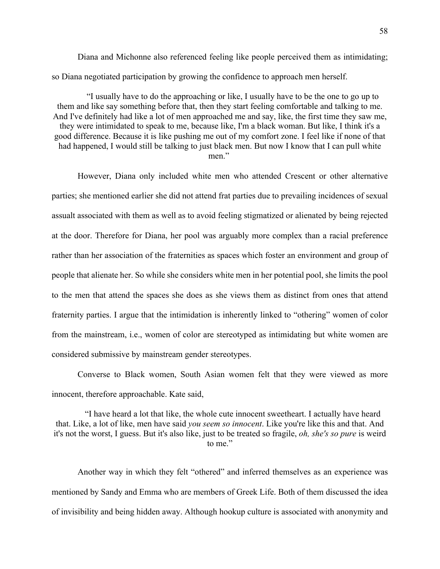Diana and Michonne also referenced feeling like people perceived them as intimidating; so Diana negotiated participation by growing the confidence to approach men herself.

"I usually have to do the approaching or like, I usually have to be the one to go up to them and like say something before that, then they start feeling comfortable and talking to me. And I've definitely had like a lot of men approached me and say, like, the first time they saw me, they were intimidated to speak to me, because like, I'm a black woman. But like, I think it's a good difference. Because it is like pushing me out of my comfort zone. I feel like if none of that had happened, I would still be talking to just black men. But now I know that I can pull white men."

However, Diana only included white men who attended Crescent or other alternative parties; she mentioned earlier she did not attend frat parties due to prevailing incidences of sexual assualt associated with them as well as to avoid feeling stigmatized or alienated by being rejected at the door. Therefore for Diana, her pool was arguably more complex than a racial preference rather than her association of the fraternities as spaces which foster an environment and group of people that alienate her. So while she considers white men in her potential pool, she limits the pool to the men that attend the spaces she does as she views them as distinct from ones that attend fraternity parties. I argue that the intimidation is inherently linked to "othering" women of color from the mainstream, i.e., women of color are stereotyped as intimidating but white women are considered submissive by mainstream gender stereotypes.

Converse to Black women, South Asian women felt that they were viewed as more innocent, therefore approachable. Kate said,

"I have heard a lot that like, the whole cute innocent sweetheart. I actually have heard that. Like, a lot of like, men have said *you seem so innocent*. Like you're like this and that. And it's not the worst, I guess. But it's also like, just to be treated so fragile, *oh, she's so pure* is weird to me."

Another way in which they felt "othered" and inferred themselves as an experience was mentioned by Sandy and Emma who are members of Greek Life. Both of them discussed the idea of invisibility and being hidden away. Although hookup culture is associated with anonymity and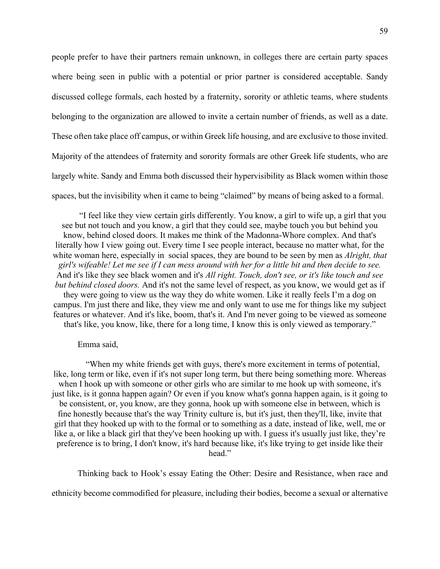people prefer to have their partners remain unknown, in colleges there are certain party spaces where being seen in public with a potential or prior partner is considered acceptable. Sandy discussed college formals, each hosted by a fraternity, sorority or athletic teams, where students belonging to the organization are allowed to invite a certain number of friends, as well as a date. These often take place off campus, or within Greek life housing, and are exclusive to those invited. Majority of the attendees of fraternity and sorority formals are other Greek life students, who are largely white. Sandy and Emma both discussed their hypervisibility as Black women within those spaces, but the invisibility when it came to being "claimed" by means of being asked to a formal.

"I feel like they view certain girls differently. You know, a girl to wife up, a girl that you see but not touch and you know, a girl that they could see, maybe touch you but behind you know, behind closed doors. It makes me think of the Madonna-Whore complex. And that's literally how I view going out. Every time I see people interact, because no matter what, for the white woman here, especially in social spaces, they are bound to be seen by men as *Alright, that girl's wifeable! Let me see if I can mess around with her for a little bit and then decide to see.* And it's like they see black women and it's *All right. Touch, don't see, or it's like touch and see but behind closed doors.* And it's not the same level of respect, as you know, we would get as if they were going to view us the way they do white women. Like it really feels I'm a dog on campus. I'm just there and like, they view me and only want to use me for things like my subject features or whatever. And it's like, boom, that's it. And I'm never going to be viewed as someone that's like, you know, like, there for a long time, I know this is only viewed as temporary."

### Emma said,

"When my white friends get with guys, there's more excitement in terms of potential, like, long term or like, even if it's not super long term, but there being something more. Whereas when I hook up with someone or other girls who are similar to me hook up with someone, it's just like, is it gonna happen again? Or even if you know what's gonna happen again, is it going to be consistent, or, you know, are they gonna, hook up with someone else in between, which is fine honestly because that's the way Trinity culture is, but it's just, then they'll, like, invite that girl that they hooked up with to the formal or to something as a date, instead of like, well, me or like a, or like a black girl that they've been hooking up with. I guess it's usually just like, they're preference is to bring, I don't know, it's hard because like, it's like trying to get inside like their head."

Thinking back to Hook's essay Eating the Other: Desire and Resistance, when race and

ethnicity become commodified for pleasure, including their bodies, become a sexual or alternative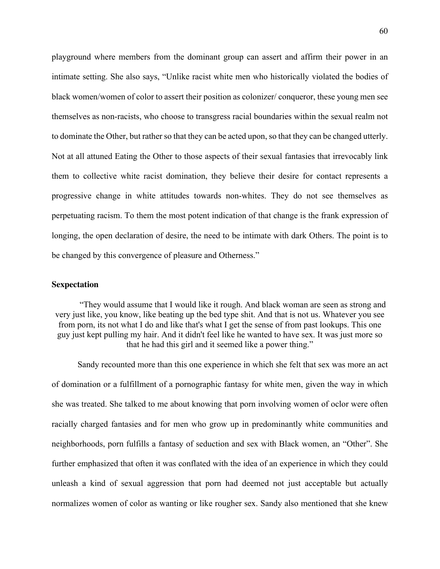playground where members from the dominant group can assert and affirm their power in an intimate setting. She also says, "Unlike racist white men who historically violated the bodies of black women/women of color to assert their position as colonizer/ conqueror, these young men see themselves as non-racists, who choose to transgress racial boundaries within the sexual realm not to dominate the Other, but rather so that they can be acted upon, so that they can be changed utterly. Not at all attuned Eating the Other to those aspects of their sexual fantasies that irrevocably link them to collective white racist domination, they believe their desire for contact represents a progressive change in white attitudes towards non-whites. They do not see themselves as perpetuating racism. To them the most potent indication of that change is the frank expression of longing, the open declaration of desire, the need to be intimate with dark Others. The point is to be changed by this convergence of pleasure and Otherness."

#### **Sexpectation**

"They would assume that I would like it rough. And black woman are seen as strong and very just like, you know, like beating up the bed type shit. And that is not us. Whatever you see from porn, its not what I do and like that's what I get the sense of from past lookups. This one guy just kept pulling my hair. And it didn't feel like he wanted to have sex. It was just more so that he had this girl and it seemed like a power thing."

Sandy recounted more than this one experience in which she felt that sex was more an act of domination or a fulfillment of a pornographic fantasy for white men, given the way in which she was treated. She talked to me about knowing that porn involving women of oclor were often racially charged fantasies and for men who grow up in predominantly white communities and neighborhoods, porn fulfills a fantasy of seduction and sex with Black women, an "Other". She further emphasized that often it was conflated with the idea of an experience in which they could unleash a kind of sexual aggression that porn had deemed not just acceptable but actually normalizes women of color as wanting or like rougher sex. Sandy also mentioned that she knew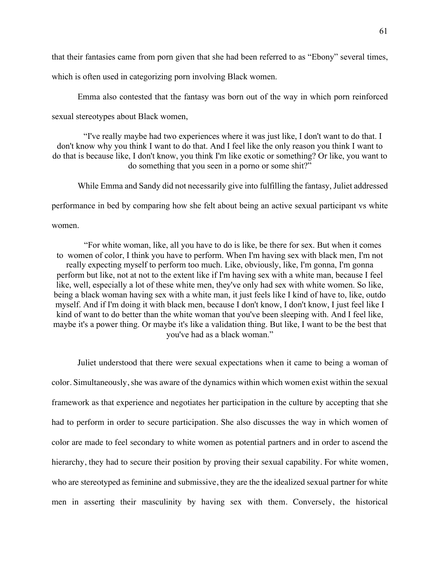that their fantasies came from porn given that she had been referred to as "Ebony" several times,

which is often used in categorizing porn involving Black women.

Emma also contested that the fantasy was born out of the way in which porn reinforced

sexual stereotypes about Black women,

"I've really maybe had two experiences where it was just like, I don't want to do that. I don't know why you think I want to do that. And I feel like the only reason you think I want to do that is because like, I don't know, you think I'm like exotic or something? Or like, you want to do something that you seen in a porno or some shit?"

While Emma and Sandy did not necessarily give into fulfilling the fantasy, Juliet addressed performance in bed by comparing how she felt about being an active sexual participant vs white

women.

"For white woman, like, all you have to do is like, be there for sex. But when it comes to women of color, I think you have to perform. When I'm having sex with black men, I'm not really expecting myself to perform too much. Like, obviously, like, I'm gonna, I'm gonna perform but like, not at not to the extent like if I'm having sex with a white man, because I feel like, well, especially a lot of these white men, they've only had sex with white women. So like, being a black woman having sex with a white man, it just feels like I kind of have to, like, outdo myself. And if I'm doing it with black men, because I don't know, I don't know, I just feel like I kind of want to do better than the white woman that you've been sleeping with. And I feel like, maybe it's a power thing. Or maybe it's like a validation thing. But like, I want to be the best that you've had as a black woman."

Juliet understood that there were sexual expectations when it came to being a woman of color. Simultaneously, she was aware of the dynamics within which women exist within the sexual framework as that experience and negotiates her participation in the culture by accepting that she had to perform in order to secure participation. She also discusses the way in which women of color are made to feel secondary to white women as potential partners and in order to ascend the hierarchy, they had to secure their position by proving their sexual capability. For white women, who are stereotyped as feminine and submissive, they are the the idealized sexual partner for white men in asserting their masculinity by having sex with them. Conversely, the historical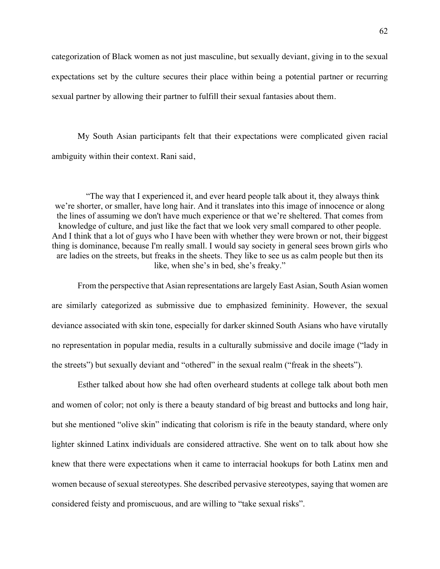categorization of Black women as not just masculine, but sexually deviant, giving in to the sexual expectations set by the culture secures their place within being a potential partner or recurring sexual partner by allowing their partner to fulfill their sexual fantasies about them.

My South Asian participants felt that their expectations were complicated given racial ambiguity within their context. Rani said,

"The way that I experienced it, and ever heard people talk about it, they always think we're shorter, or smaller, have long hair. And it translates into this image of innocence or along the lines of assuming we don't have much experience or that we're sheltered. That comes from knowledge of culture, and just like the fact that we look very small compared to other people. And I think that a lot of guys who I have been with whether they were brown or not, their biggest thing is dominance, because I'm really small. I would say society in general sees brown girls who are ladies on the streets, but freaks in the sheets. They like to see us as calm people but then its like, when she's in bed, she's freaky."

From the perspective that Asian representations are largely East Asian, South Asian women are similarly categorized as submissive due to emphasized femininity. However, the sexual deviance associated with skin tone, especially for darker skinned South Asians who have virutally no representation in popular media, results in a culturally submissive and docile image ("lady in the streets") but sexually deviant and "othered" in the sexual realm ("freak in the sheets").

Esther talked about how she had often overheard students at college talk about both men and women of color; not only is there a beauty standard of big breast and buttocks and long hair, but she mentioned "olive skin" indicating that colorism is rife in the beauty standard, where only lighter skinned Latinx individuals are considered attractive. She went on to talk about how she knew that there were expectations when it came to interracial hookups for both Latinx men and women because of sexual stereotypes. She described pervasive stereotypes, saying that women are considered feisty and promiscuous, and are willing to "take sexual risks".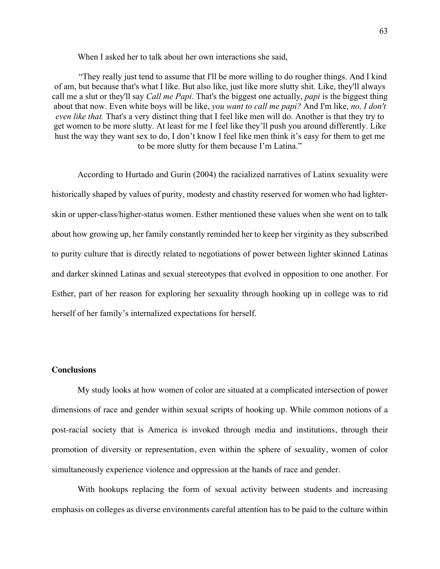When I asked her to talk about her own interactions she said,

"They really just tend to assume that I'll be more willing to do rougher things. And I kind of am, but because that's what I like. But also like, just like more slutty shit. Like, they'll always call me a slut or they'll say *Call me Papi*. That's the biggest one actually, *papi* is the biggest thing about that now. Even white boys will be like, *you want to call me papi?* And I'm like, *no, I don't even like that.* That's a very distinct thing that I feel like men will do. Another is that they try to get women to be more slutty. At least for me I feel like they'll push you around differently. Like hust the way they want sex to do, I don't know I feel like men think it's easy for them to get me to be more slutty for them because I'm Latina."

According to Hurtado and Gurin (2004) the racialized narratives of Latinx sexuality were historically shaped by values of purity, modesty and chastity reserved for women who had lighterskin or upper-class/higher-status women. Esther mentioned these values when she went on to talk about how growing up, her family constantly reminded her to keep her virginity as they subscribed to purity culture that is directly related to negotiations of power between lighter skinned Latinas and darker skinned Latinas and sexual stereotypes that evolved in opposition to one another. For Esther, part of her reason for exploring her sexuality through hooking up in college was to rid herself of her family's internalized expectations for herself.

#### **Conclusions**

My study looks at how women of color are situated at a complicated intersection of power dimensions of race and gender within sexual scripts of hooking up. While common notions of a post-racial society that is America is invoked through media and institutions, through their promotion of diversity or representation, even within the sphere of sexuality, women of color simultaneously experience violence and oppression at the hands of race and gender.

With hookups replacing the form of sexual activity between students and increasing emphasis on colleges as diverse environments careful attention has to be paid to the culture within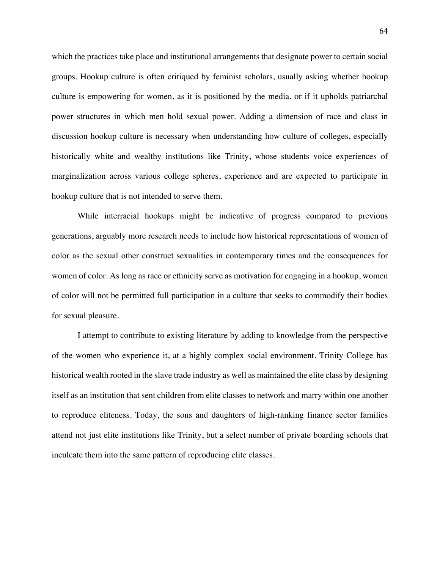which the practices take place and institutional arrangements that designate power to certain social groups. Hookup culture is often critiqued by feminist scholars, usually asking whether hookup culture is empowering for women, as it is positioned by the media, or if it upholds patriarchal power structures in which men hold sexual power. Adding a dimension of race and class in discussion hookup culture is necessary when understanding how culture of colleges, especially historically white and wealthy institutions like Trinity, whose students voice experiences of marginalization across various college spheres, experience and are expected to participate in hookup culture that is not intended to serve them.

While interracial hookups might be indicative of progress compared to previous generations, arguably more research needs to include how historical representations of women of color as the sexual other construct sexualities in contemporary times and the consequences for women of color. As long as race or ethnicity serve as motivation for engaging in a hookup, women of color will not be permitted full participation in a culture that seeks to commodify their bodies for sexual pleasure.

I attempt to contribute to existing literature by adding to knowledge from the perspective of the women who experience it, at a highly complex social environment. Trinity College has historical wealth rooted in the slave trade industry as well as maintained the elite class by designing itself as an institution that sent children from elite classes to network and marry within one another to reproduce eliteness. Today, the sons and daughters of high-ranking finance sector families attend not just elite institutions like Trinity, but a select number of private boarding schools that inculcate them into the same pattern of reproducing elite classes.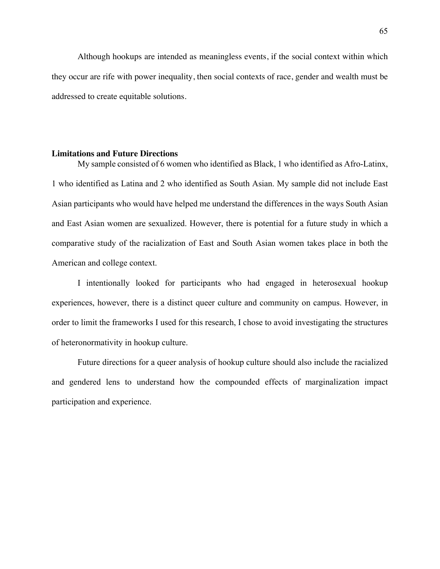Although hookups are intended as meaningless events, if the social context within which they occur are rife with power inequality, then social contexts of race, gender and wealth must be addressed to create equitable solutions.

#### **Limitations and Future Directions**

My sample consisted of 6 women who identified as Black, 1 who identified as Afro-Latinx, 1 who identified as Latina and 2 who identified as South Asian. My sample did not include East Asian participants who would have helped me understand the differences in the ways South Asian and East Asian women are sexualized. However, there is potential for a future study in which a comparative study of the racialization of East and South Asian women takes place in both the American and college context.

I intentionally looked for participants who had engaged in heterosexual hookup experiences, however, there is a distinct queer culture and community on campus. However, in order to limit the frameworks I used for this research, I chose to avoid investigating the structures of heteronormativity in hookup culture.

Future directions for a queer analysis of hookup culture should also include the racialized and gendered lens to understand how the compounded effects of marginalization impact participation and experience.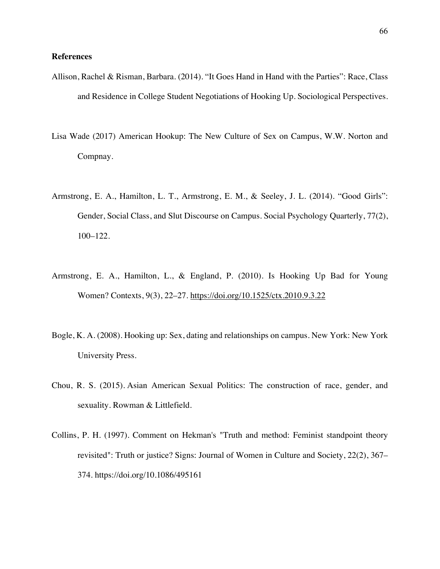## **References**

- Allison, Rachel & Risman, Barbara. (2014). "It Goes Hand in Hand with the Parties": Race, Class and Residence in College Student Negotiations of Hooking Up. Sociological Perspectives.
- Lisa Wade (2017) American Hookup: The New Culture of Sex on Campus, W.W. Norton and Compnay.
- Armstrong, E. A., Hamilton, L. T., Armstrong, E. M., & Seeley, J. L. (2014). "Good Girls": Gender, Social Class, and Slut Discourse on Campus. Social Psychology Quarterly, 77(2), 100–122.
- Armstrong, E. A., Hamilton, L., & England, P. (2010). Is Hooking Up Bad for Young Women? Contexts, 9(3), 22–27. https://doi.org/10.1525/ctx.2010.9.3.22
- Bogle, K. A. (2008). Hooking up: Sex, dating and relationships on campus. New York: New York University Press.
- Chou, R. S. (2015). Asian American Sexual Politics: The construction of race, gender, and sexuality. Rowman & Littlefield.
- Collins, P. H. (1997). Comment on Hekman's "Truth and method: Feminist standpoint theory revisited": Truth or justice? Signs: Journal of Women in Culture and Society, 22(2), 367– 374. https://doi.org/10.1086/495161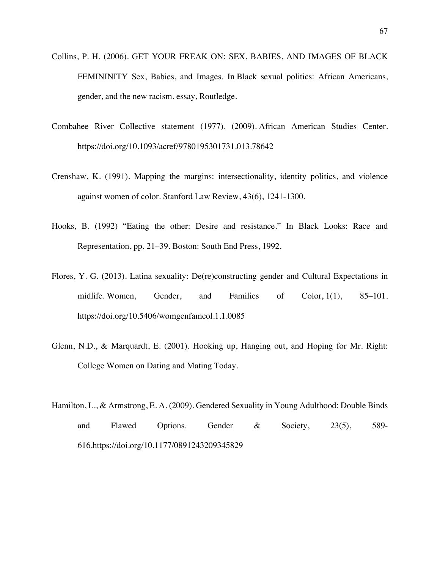- Collins, P. H. (2006). GET YOUR FREAK ON: SEX, BABIES, AND IMAGES OF BLACK FEMININITY Sex, Babies, and Images. In Black sexual politics: African Americans, gender, and the new racism. essay, Routledge.
- Combahee River Collective statement (1977). (2009). African American Studies Center. https://doi.org/10.1093/acref/9780195301731.013.78642
- Crenshaw, K. (1991). Mapping the margins: intersectionality, identity politics, and violence against women of color. Stanford Law Review, 43(6), 1241-1300.
- Hooks, B. (1992) "Eating the other: Desire and resistance." In Black Looks: Race and Representation, pp. 21–39. Boston: South End Press, 1992.
- Flores, Y. G. (2013). Latina sexuality: De(re)constructing gender and Cultural Expectations in midlife. Women, Gender, and Families of Color, 1(1), 85–101. https://doi.org/10.5406/womgenfamcol.1.1.0085
- Glenn, N.D., & Marquardt, E. (2001). Hooking up, Hanging out, and Hoping for Mr. Right: College Women on Dating and Mating Today.
- Hamilton, L., & Armstrong, E. A. (2009). Gendered Sexuality in Young Adulthood: Double Binds and Flawed Options. Gender & Society, 23(5), 589- 616.https://doi.org/10.1177/0891243209345829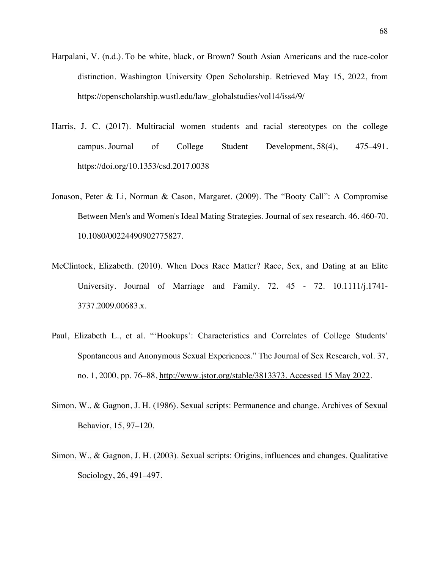- Harpalani, V. (n.d.). To be white, black, or Brown? South Asian Americans and the race-color distinction. Washington University Open Scholarship. Retrieved May 15, 2022, from https://openscholarship.wustl.edu/law\_globalstudies/vol14/iss4/9/
- Harris, J. C. (2017). Multiracial women students and racial stereotypes on the college campus. Journal of College Student Development, 58(4), 475–491. https://doi.org/10.1353/csd.2017.0038
- Jonason, Peter & Li, Norman & Cason, Margaret. (2009). The "Booty Call": A Compromise Between Men's and Women's Ideal Mating Strategies. Journal of sex research. 46. 460-70. 10.1080/00224490902775827.
- McClintock, Elizabeth. (2010). When Does Race Matter? Race, Sex, and Dating at an Elite University. Journal of Marriage and Family. 72. 45 - 72. 10.1111/j.1741- 3737.2009.00683.x.
- Paul, Elizabeth L., et al. "'Hookups': Characteristics and Correlates of College Students' Spontaneous and Anonymous Sexual Experiences." The Journal of Sex Research, vol. 37, no. 1, 2000, pp. 76–88, http://www.jstor.org/stable/3813373. Accessed 15 May 2022.
- Simon, W., & Gagnon, J. H. (1986). Sexual scripts: Permanence and change. Archives of Sexual Behavior, 15, 97–120.
- Simon, W., & Gagnon, J. H. (2003). Sexual scripts: Origins, influences and changes. Qualitative Sociology, 26, 491–497.